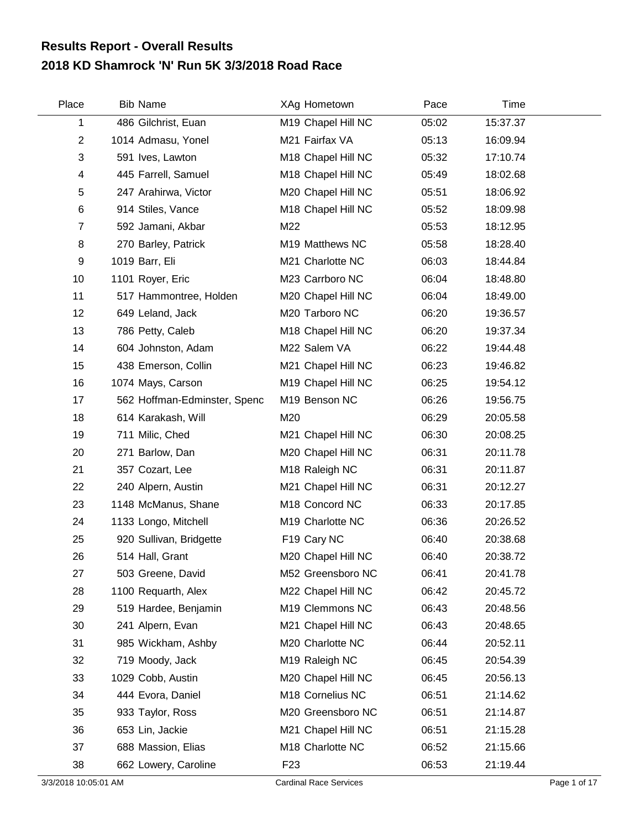## **2018 KD Shamrock 'N' Run 5K 3/3/2018 Road Race Results Report - Overall Results**

| Place          | <b>Bib Name</b>              | XAg Hometown               | Pace  | Time     |  |
|----------------|------------------------------|----------------------------|-------|----------|--|
| 1              | 486 Gilchrist, Euan          | M19 Chapel Hill NC         | 05:02 | 15:37.37 |  |
| $\overline{c}$ | 1014 Admasu, Yonel           | M21 Fairfax VA             | 05:13 | 16:09.94 |  |
| 3              | 591 Ives, Lawton             | M18 Chapel Hill NC         | 05:32 | 17:10.74 |  |
| 4              | 445 Farrell, Samuel          | M18 Chapel Hill NC         | 05:49 | 18:02.68 |  |
| 5              | 247 Arahirwa, Victor         | M20 Chapel Hill NC         | 05:51 | 18:06.92 |  |
| 6              | 914 Stiles, Vance            | M18 Chapel Hill NC         | 05:52 | 18:09.98 |  |
| $\overline{7}$ | 592 Jamani, Akbar            | M22                        | 05:53 | 18:12.95 |  |
| 8              | 270 Barley, Patrick          | M19 Matthews NC            | 05:58 | 18:28.40 |  |
| 9              | 1019 Barr, Eli               | M21 Charlotte NC           | 06:03 | 18:44.84 |  |
| 10             | 1101 Royer, Eric             | M23 Carrboro NC            | 06:04 | 18:48.80 |  |
| 11             | 517 Hammontree, Holden       | M20 Chapel Hill NC         | 06:04 | 18:49.00 |  |
| 12             | 649 Leland, Jack             | M20 Tarboro NC             | 06:20 | 19:36.57 |  |
| 13             | 786 Petty, Caleb             | M18 Chapel Hill NC         | 06:20 | 19:37.34 |  |
| 14             | 604 Johnston, Adam           | M22 Salem VA               | 06:22 | 19:44.48 |  |
| 15             | 438 Emerson, Collin          | M21 Chapel Hill NC         | 06:23 | 19:46.82 |  |
| 16             | 1074 Mays, Carson            | M19 Chapel Hill NC         | 06:25 | 19:54.12 |  |
| 17             | 562 Hoffman-Edminster, Spenc | M19 Benson NC              | 06:26 | 19:56.75 |  |
| 18             | 614 Karakash, Will           | M20                        | 06:29 | 20:05.58 |  |
| 19             | 711 Milic, Ched              | M21 Chapel Hill NC         | 06:30 | 20:08.25 |  |
| 20             | 271 Barlow, Dan              | M20 Chapel Hill NC         | 06:31 | 20:11.78 |  |
| 21             | 357 Cozart, Lee              | M <sub>18</sub> Raleigh NC | 06:31 | 20:11.87 |  |
| 22             | 240 Alpern, Austin           | M21 Chapel Hill NC         | 06:31 | 20:12.27 |  |
| 23             | 1148 McManus, Shane          | M18 Concord NC             | 06:33 | 20:17.85 |  |
| 24             | 1133 Longo, Mitchell         | M19 Charlotte NC           | 06:36 | 20:26.52 |  |
| 25             | 920 Sullivan, Bridgette      | F19 Cary NC                | 06:40 | 20:38.68 |  |
| 26             | 514 Hall, Grant              | M20 Chapel Hill NC         | 06:40 | 20:38.72 |  |
| 27             | 503 Greene, David            | M52 Greensboro NC          | 06:41 | 20:41.78 |  |
| 28             | 1100 Requarth, Alex          | M22 Chapel Hill NC         | 06:42 | 20:45.72 |  |
| 29             | 519 Hardee, Benjamin         | M19 Clemmons NC            | 06:43 | 20:48.56 |  |
| 30             | 241 Alpern, Evan             | M21 Chapel Hill NC         | 06:43 | 20:48.65 |  |
| 31             | 985 Wickham, Ashby           | M20 Charlotte NC           | 06:44 | 20:52.11 |  |
| 32             | 719 Moody, Jack              | M19 Raleigh NC             | 06:45 | 20:54.39 |  |
| 33             | 1029 Cobb, Austin            | M20 Chapel Hill NC         | 06:45 | 20:56.13 |  |
| 34             | 444 Evora, Daniel            | M18 Cornelius NC           | 06:51 | 21:14.62 |  |
| 35             | 933 Taylor, Ross             | M20 Greensboro NC          | 06:51 | 21:14.87 |  |
| 36             | 653 Lin, Jackie              | M21 Chapel Hill NC         | 06:51 | 21:15.28 |  |
| 37             | 688 Massion, Elias           | M18 Charlotte NC           | 06:52 | 21:15.66 |  |
| 38             | 662 Lowery, Caroline         | F <sub>23</sub>            | 06:53 | 21:19.44 |  |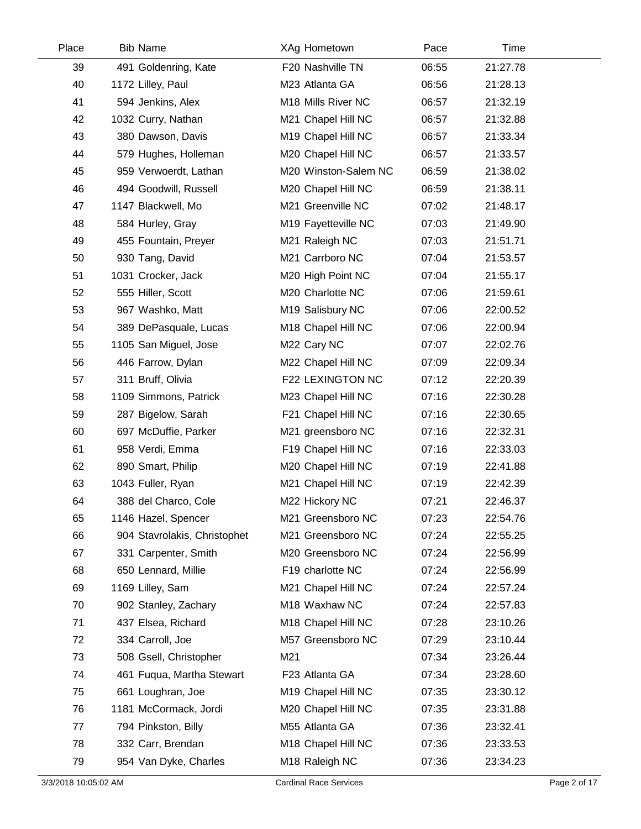| Place | <b>Bib Name</b>              | XAg Hometown         | Pace  | Time     |  |
|-------|------------------------------|----------------------|-------|----------|--|
| 39    | 491 Goldenring, Kate         | F20 Nashville TN     | 06:55 | 21:27.78 |  |
| 40    | 1172 Lilley, Paul            | M23 Atlanta GA       | 06:56 | 21:28.13 |  |
| 41    | 594 Jenkins, Alex            | M18 Mills River NC   | 06:57 | 21:32.19 |  |
| 42    | 1032 Curry, Nathan           | M21 Chapel Hill NC   | 06:57 | 21:32.88 |  |
| 43    | 380 Dawson, Davis            | M19 Chapel Hill NC   | 06:57 | 21:33.34 |  |
| 44    | 579 Hughes, Holleman         | M20 Chapel Hill NC   | 06:57 | 21:33.57 |  |
| 45    | 959 Verwoerdt, Lathan        | M20 Winston-Salem NC | 06:59 | 21:38.02 |  |
| 46    | 494 Goodwill, Russell        | M20 Chapel Hill NC   | 06:59 | 21:38.11 |  |
| 47    | 1147 Blackwell, Mo           | M21 Greenville NC    | 07:02 | 21:48.17 |  |
| 48    | 584 Hurley, Gray             | M19 Fayetteville NC  | 07:03 | 21:49.90 |  |
| 49    | 455 Fountain, Preyer         | M21 Raleigh NC       | 07:03 | 21:51.71 |  |
| 50    | 930 Tang, David              | M21 Carrboro NC      | 07:04 | 21:53.57 |  |
| 51    | 1031 Crocker, Jack           | M20 High Point NC    | 07:04 | 21:55.17 |  |
| 52    | 555 Hiller, Scott            | M20 Charlotte NC     | 07:06 | 21:59.61 |  |
| 53    | 967 Washko, Matt             | M19 Salisbury NC     | 07:06 | 22:00.52 |  |
| 54    | 389 DePasquale, Lucas        | M18 Chapel Hill NC   | 07:06 | 22:00.94 |  |
| 55    | 1105 San Miguel, Jose        | M22 Cary NC          | 07:07 | 22:02.76 |  |
| 56    | 446 Farrow, Dylan            | M22 Chapel Hill NC   | 07:09 | 22:09.34 |  |
| 57    | 311 Bruff, Olivia            | F22 LEXINGTON NC     | 07:12 | 22:20.39 |  |
| 58    | 1109 Simmons, Patrick        | M23 Chapel Hill NC   | 07:16 | 22:30.28 |  |
| 59    | 287 Bigelow, Sarah           | F21 Chapel Hill NC   | 07:16 | 22:30.65 |  |
| 60    | 697 McDuffie, Parker         | M21 greensboro NC    | 07:16 | 22:32.31 |  |
| 61    | 958 Verdi, Emma              | F19 Chapel Hill NC   | 07:16 | 22:33.03 |  |
| 62    | 890 Smart, Philip            | M20 Chapel Hill NC   | 07:19 | 22:41.88 |  |
| 63    | 1043 Fuller, Ryan            | M21 Chapel Hill NC   | 07:19 | 22:42.39 |  |
| 64    | 388 del Charco, Cole         | M22 Hickory NC       | 07:21 | 22:46.37 |  |
| 65    | 1146 Hazel, Spencer          | M21 Greensboro NC    | 07:23 | 22:54.76 |  |
| 66    | 904 Stavrolakis, Christophet | M21 Greensboro NC    | 07:24 | 22:55.25 |  |
| 67    | 331 Carpenter, Smith         | M20 Greensboro NC    | 07:24 | 22:56.99 |  |
| 68    | 650 Lennard, Millie          | F19 charlotte NC     | 07:24 | 22:56.99 |  |
| 69    | 1169 Lilley, Sam             | M21 Chapel Hill NC   | 07:24 | 22:57.24 |  |
| 70    | 902 Stanley, Zachary         | M18 Waxhaw NC        | 07:24 | 22:57.83 |  |
| 71    | 437 Elsea, Richard           | M18 Chapel Hill NC   | 07:28 | 23:10.26 |  |
| 72    | 334 Carroll, Joe             | M57 Greensboro NC    | 07:29 | 23:10.44 |  |
| 73    | 508 Gsell, Christopher       | M21                  | 07:34 | 23:26.44 |  |
| 74    | 461 Fuqua, Martha Stewart    | F23 Atlanta GA       | 07:34 | 23:28.60 |  |
| 75    | 661 Loughran, Joe            | M19 Chapel Hill NC   | 07:35 | 23:30.12 |  |
| 76    | 1181 McCormack, Jordi        | M20 Chapel Hill NC   | 07:35 | 23:31.88 |  |
| 77    | 794 Pinkston, Billy          | M55 Atlanta GA       | 07:36 | 23:32.41 |  |
| 78    | 332 Carr, Brendan            | M18 Chapel Hill NC   | 07:36 | 23:33.53 |  |
| 79    | 954 Van Dyke, Charles        | M18 Raleigh NC       | 07:36 | 23:34.23 |  |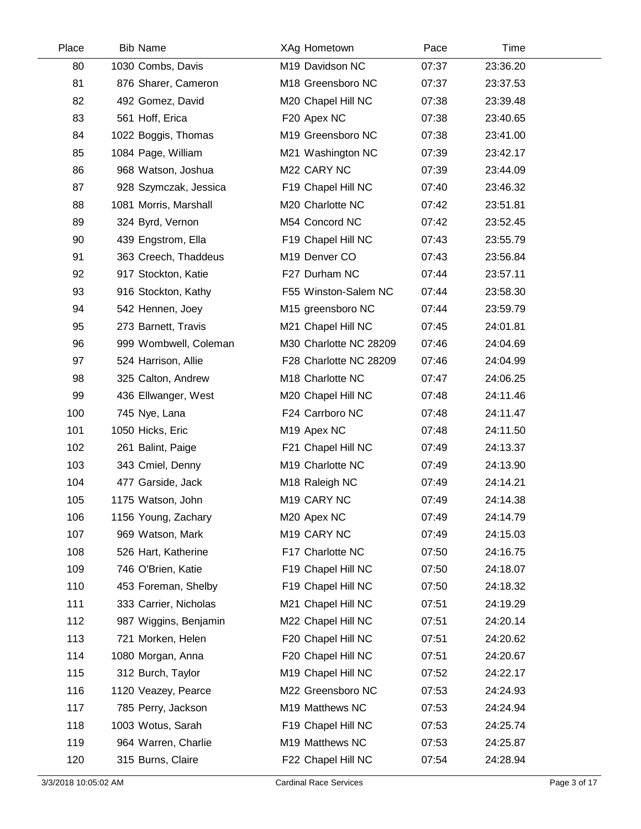| Place | <b>Bib Name</b>       | XAg Hometown            | Pace  | Time     |  |
|-------|-----------------------|-------------------------|-------|----------|--|
| 80    | 1030 Combs, Davis     | M19 Davidson NC         | 07:37 | 23:36.20 |  |
| 81    | 876 Sharer, Cameron   | M18 Greensboro NC       | 07:37 | 23:37.53 |  |
| 82    | 492 Gomez, David      | M20 Chapel Hill NC      | 07:38 | 23:39.48 |  |
| 83    | 561 Hoff, Erica       | F20 Apex NC             | 07:38 | 23:40.65 |  |
| 84    | 1022 Boggis, Thomas   | M19 Greensboro NC       | 07:38 | 23:41.00 |  |
| 85    | 1084 Page, William    | M21 Washington NC       | 07:39 | 23:42.17 |  |
| 86    | 968 Watson, Joshua    | M22 CARY NC             | 07:39 | 23:44.09 |  |
| 87    | 928 Szymczak, Jessica | F19 Chapel Hill NC      | 07:40 | 23:46.32 |  |
| 88    | 1081 Morris, Marshall | M20 Charlotte NC        | 07:42 | 23:51.81 |  |
| 89    | 324 Byrd, Vernon      | M54 Concord NC          | 07:42 | 23:52.45 |  |
| 90    | 439 Engstrom, Ella    | F19 Chapel Hill NC      | 07:43 | 23:55.79 |  |
| 91    | 363 Creech, Thaddeus  | M19 Denver CO           | 07:43 | 23:56.84 |  |
| 92    | 917 Stockton, Katie   | F27 Durham NC           | 07:44 | 23:57.11 |  |
| 93    | 916 Stockton, Kathy   | F55 Winston-Salem NC    | 07:44 | 23:58.30 |  |
| 94    | 542 Hennen, Joey      | M15 greensboro NC       | 07:44 | 23:59.79 |  |
| 95    | 273 Barnett, Travis   | M21 Chapel Hill NC      | 07:45 | 24:01.81 |  |
| 96    | 999 Wombwell, Coleman | M30 Charlotte NC 28209  | 07:46 | 24:04.69 |  |
| 97    | 524 Harrison, Allie   | F28 Charlotte NC 28209  | 07:46 | 24:04.99 |  |
| 98    | 325 Calton, Andrew    | M18 Charlotte NC        | 07:47 | 24:06.25 |  |
| 99    | 436 Ellwanger, West   | M20 Chapel Hill NC      | 07:48 | 24:11.46 |  |
| 100   | 745 Nye, Lana         | F24 Carrboro NC         | 07:48 | 24:11.47 |  |
| 101   | 1050 Hicks, Eric      | M <sub>19</sub> Apex NC | 07:48 | 24:11.50 |  |
| 102   | 261 Balint, Paige     | F21 Chapel Hill NC      | 07:49 | 24:13.37 |  |
| 103   | 343 Cmiel, Denny      | M19 Charlotte NC        | 07:49 | 24:13.90 |  |
| 104   | 477 Garside, Jack     | M18 Raleigh NC          | 07:49 | 24:14.21 |  |
| 105   | 1175 Watson, John     | M <sub>19</sub> CARY NC | 07:49 | 24:14.38 |  |
| 106   | 1156 Young, Zachary   | M20 Apex NC             | 07:49 | 24:14.79 |  |
| 107   | 969 Watson, Mark      | M19 CARY NC             | 07:49 | 24:15.03 |  |
| 108   | 526 Hart, Katherine   | F17 Charlotte NC        | 07:50 | 24:16.75 |  |
| 109   | 746 O'Brien, Katie    | F19 Chapel Hill NC      | 07:50 | 24:18.07 |  |
| 110   | 453 Foreman, Shelby   | F19 Chapel Hill NC      | 07:50 | 24:18.32 |  |
| 111   | 333 Carrier, Nicholas | M21 Chapel Hill NC      | 07:51 | 24:19.29 |  |
| 112   | 987 Wiggins, Benjamin | M22 Chapel Hill NC      | 07:51 | 24:20.14 |  |
| 113   | 721 Morken, Helen     | F20 Chapel Hill NC      | 07:51 | 24:20.62 |  |
| 114   | 1080 Morgan, Anna     | F20 Chapel Hill NC      | 07:51 | 24:20.67 |  |
| 115   | 312 Burch, Taylor     | M19 Chapel Hill NC      | 07:52 | 24:22.17 |  |
| 116   | 1120 Veazey, Pearce   | M22 Greensboro NC       | 07:53 | 24:24.93 |  |
| 117   | 785 Perry, Jackson    | M19 Matthews NC         | 07:53 | 24:24.94 |  |
| 118   | 1003 Wotus, Sarah     | F19 Chapel Hill NC      | 07:53 | 24:25.74 |  |
| 119   | 964 Warren, Charlie   | M19 Matthews NC         | 07:53 | 24:25.87 |  |
| 120   | 315 Burns, Claire     | F22 Chapel Hill NC      | 07:54 | 24:28.94 |  |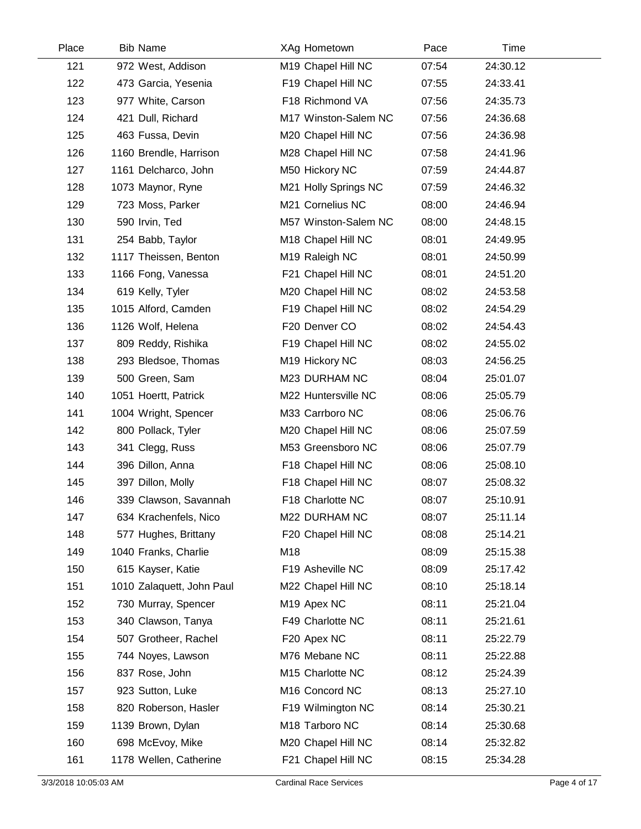| Place | <b>Bib Name</b>           | XAg Hometown            | Pace  | Time     |  |
|-------|---------------------------|-------------------------|-------|----------|--|
| 121   | 972 West, Addison         | M19 Chapel Hill NC      | 07:54 | 24:30.12 |  |
| 122   | 473 Garcia, Yesenia       | F19 Chapel Hill NC      | 07:55 | 24:33.41 |  |
| 123   | 977 White, Carson         | F18 Richmond VA         | 07:56 | 24:35.73 |  |
| 124   | 421 Dull, Richard         | M17 Winston-Salem NC    | 07:56 | 24:36.68 |  |
| 125   | 463 Fussa, Devin          | M20 Chapel Hill NC      | 07:56 | 24:36.98 |  |
| 126   | 1160 Brendle, Harrison    | M28 Chapel Hill NC      | 07:58 | 24:41.96 |  |
| 127   | 1161 Delcharco, John      | M50 Hickory NC          | 07:59 | 24:44.87 |  |
| 128   | 1073 Maynor, Ryne         | M21 Holly Springs NC    | 07:59 | 24:46.32 |  |
| 129   | 723 Moss, Parker          | M21 Cornelius NC        | 08:00 | 24:46.94 |  |
| 130   | 590 Irvin, Ted            | M57 Winston-Salem NC    | 08:00 | 24:48.15 |  |
| 131   | 254 Babb, Taylor          | M18 Chapel Hill NC      | 08:01 | 24:49.95 |  |
| 132   | 1117 Theissen, Benton     | M19 Raleigh NC          | 08:01 | 24:50.99 |  |
| 133   | 1166 Fong, Vanessa        | F21 Chapel Hill NC      | 08:01 | 24:51.20 |  |
| 134   | 619 Kelly, Tyler          | M20 Chapel Hill NC      | 08:02 | 24:53.58 |  |
| 135   | 1015 Alford, Camden       | F19 Chapel Hill NC      | 08:02 | 24:54.29 |  |
| 136   | 1126 Wolf, Helena         | F20 Denver CO           | 08:02 | 24:54.43 |  |
| 137   | 809 Reddy, Rishika        | F19 Chapel Hill NC      | 08:02 | 24:55.02 |  |
| 138   | 293 Bledsoe, Thomas       | M19 Hickory NC          | 08:03 | 24:56.25 |  |
| 139   | 500 Green, Sam            | M23 DURHAM NC           | 08:04 | 25:01.07 |  |
| 140   | 1051 Hoertt, Patrick      | M22 Huntersville NC     | 08:06 | 25:05.79 |  |
| 141   | 1004 Wright, Spencer      | M33 Carrboro NC         | 08:06 | 25:06.76 |  |
| 142   | 800 Pollack, Tyler        | M20 Chapel Hill NC      | 08:06 | 25:07.59 |  |
| 143   | 341 Clegg, Russ           | M53 Greensboro NC       | 08:06 | 25:07.79 |  |
| 144   | 396 Dillon, Anna          | F18 Chapel Hill NC      | 08:06 | 25:08.10 |  |
| 145   | 397 Dillon, Molly         | F18 Chapel Hill NC      | 08:07 | 25:08.32 |  |
| 146   | 339 Clawson, Savannah     | F18 Charlotte NC        | 08:07 | 25:10.91 |  |
| 147   | 634 Krachenfels, Nico     | M22 DURHAM NC           | 08:07 | 25:11.14 |  |
| 148   | 577 Hughes, Brittany      | F20 Chapel Hill NC      | 08:08 | 25:14.21 |  |
| 149   | 1040 Franks, Charlie      | M18                     | 08:09 | 25:15.38 |  |
| 150   | 615 Kayser, Katie         | F19 Asheville NC        | 08:09 | 25:17.42 |  |
| 151   | 1010 Zalaquett, John Paul | M22 Chapel Hill NC      | 08:10 | 25:18.14 |  |
| 152   | 730 Murray, Spencer       | M <sub>19</sub> Apex NC | 08:11 | 25:21.04 |  |
| 153   | 340 Clawson, Tanya        | F49 Charlotte NC        | 08:11 | 25:21.61 |  |
| 154   | 507 Grotheer, Rachel      | F20 Apex NC             | 08:11 | 25:22.79 |  |
| 155   | 744 Noyes, Lawson         | M76 Mebane NC           | 08:11 | 25:22.88 |  |
| 156   | 837 Rose, John            | M15 Charlotte NC        | 08:12 | 25:24.39 |  |
| 157   | 923 Sutton, Luke          | M16 Concord NC          | 08:13 | 25:27.10 |  |
| 158   | 820 Roberson, Hasler      | F19 Wilmington NC       | 08:14 | 25:30.21 |  |
| 159   | 1139 Brown, Dylan         | M18 Tarboro NC          | 08:14 | 25:30.68 |  |
| 160   | 698 McEvoy, Mike          | M20 Chapel Hill NC      | 08:14 | 25:32.82 |  |
| 161   | 1178 Wellen, Catherine    | F21 Chapel Hill NC      | 08:15 | 25:34.28 |  |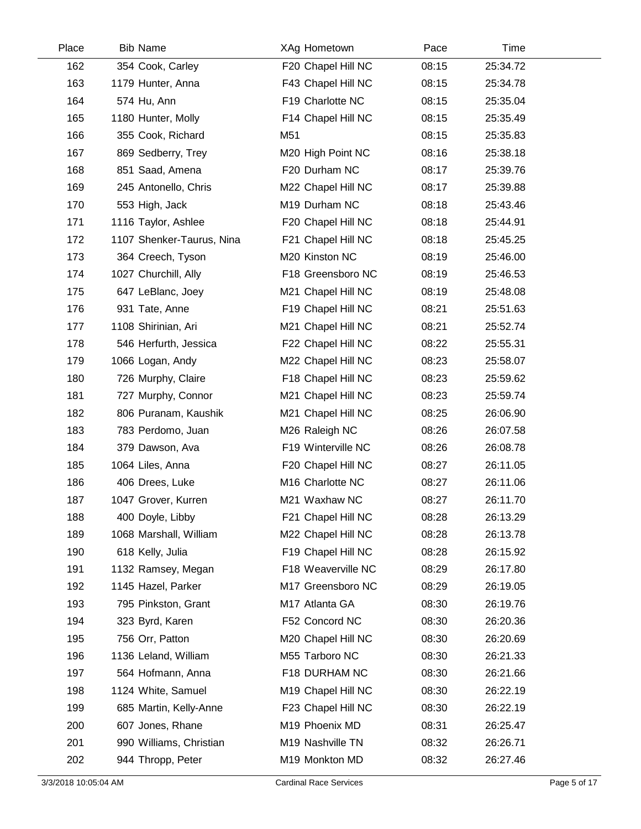| Place | <b>Bib Name</b>           | XAg Hometown       | Pace  | Time     |  |
|-------|---------------------------|--------------------|-------|----------|--|
| 162   | 354 Cook, Carley          | F20 Chapel Hill NC | 08:15 | 25:34.72 |  |
| 163   | 1179 Hunter, Anna         | F43 Chapel Hill NC | 08:15 | 25:34.78 |  |
| 164   | 574 Hu, Ann               | F19 Charlotte NC   | 08:15 | 25:35.04 |  |
| 165   | 1180 Hunter, Molly        | F14 Chapel Hill NC | 08:15 | 25:35.49 |  |
| 166   | 355 Cook, Richard         | M51                | 08:15 | 25:35.83 |  |
| 167   | 869 Sedberry, Trey        | M20 High Point NC  | 08:16 | 25:38.18 |  |
| 168   | 851 Saad, Amena           | F20 Durham NC      | 08:17 | 25:39.76 |  |
| 169   | 245 Antonello, Chris      | M22 Chapel Hill NC | 08:17 | 25:39.88 |  |
| 170   | 553 High, Jack            | M19 Durham NC      | 08:18 | 25:43.46 |  |
| 171   | 1116 Taylor, Ashlee       | F20 Chapel Hill NC | 08:18 | 25:44.91 |  |
| 172   | 1107 Shenker-Taurus, Nina | F21 Chapel Hill NC | 08:18 | 25:45.25 |  |
| 173   | 364 Creech, Tyson         | M20 Kinston NC     | 08:19 | 25:46.00 |  |
| 174   | 1027 Churchill, Ally      | F18 Greensboro NC  | 08:19 | 25:46.53 |  |
| 175   | 647 LeBlanc, Joey         | M21 Chapel Hill NC | 08:19 | 25:48.08 |  |
| 176   | 931 Tate, Anne            | F19 Chapel Hill NC | 08:21 | 25:51.63 |  |
| 177   | 1108 Shirinian, Ari       | M21 Chapel Hill NC | 08:21 | 25:52.74 |  |
| 178   | 546 Herfurth, Jessica     | F22 Chapel Hill NC | 08:22 | 25:55.31 |  |
| 179   | 1066 Logan, Andy          | M22 Chapel Hill NC | 08:23 | 25:58.07 |  |
| 180   | 726 Murphy, Claire        | F18 Chapel Hill NC | 08:23 | 25:59.62 |  |
| 181   | 727 Murphy, Connor        | M21 Chapel Hill NC | 08:23 | 25:59.74 |  |
| 182   | 806 Puranam, Kaushik      | M21 Chapel Hill NC | 08:25 | 26:06.90 |  |
| 183   | 783 Perdomo, Juan         | M26 Raleigh NC     | 08:26 | 26:07.58 |  |
| 184   | 379 Dawson, Ava           | F19 Winterville NC | 08:26 | 26:08.78 |  |
| 185   | 1064 Liles, Anna          | F20 Chapel Hill NC | 08:27 | 26:11.05 |  |
| 186   | 406 Drees, Luke           | M16 Charlotte NC   | 08:27 | 26:11.06 |  |
| 187   | 1047 Grover, Kurren       | M21 Waxhaw NC      | 08:27 | 26:11.70 |  |
| 188   | 400 Doyle, Libby          | F21 Chapel Hill NC | 08:28 | 26:13.29 |  |
| 189   | 1068 Marshall, William    | M22 Chapel Hill NC | 08:28 | 26:13.78 |  |
| 190   | 618 Kelly, Julia          | F19 Chapel Hill NC | 08:28 | 26:15.92 |  |
| 191   | 1132 Ramsey, Megan        | F18 Weaverville NC | 08:29 | 26:17.80 |  |
| 192   | 1145 Hazel, Parker        | M17 Greensboro NC  | 08:29 | 26:19.05 |  |
| 193   | 795 Pinkston, Grant       | M17 Atlanta GA     | 08:30 | 26:19.76 |  |
| 194   | 323 Byrd, Karen           | F52 Concord NC     | 08:30 | 26:20.36 |  |
| 195   | 756 Orr, Patton           | M20 Chapel Hill NC | 08:30 | 26:20.69 |  |
| 196   | 1136 Leland, William      | M55 Tarboro NC     | 08:30 | 26:21.33 |  |
| 197   | 564 Hofmann, Anna         | F18 DURHAM NC      | 08:30 | 26:21.66 |  |
| 198   | 1124 White, Samuel        | M19 Chapel Hill NC | 08:30 | 26:22.19 |  |
| 199   | 685 Martin, Kelly-Anne    | F23 Chapel Hill NC | 08:30 | 26:22.19 |  |
| 200   | 607 Jones, Rhane          | M19 Phoenix MD     | 08:31 | 26:25.47 |  |
| 201   | 990 Williams, Christian   | M19 Nashville TN   | 08:32 | 26:26.71 |  |
| 202   | 944 Thropp, Peter         | M19 Monkton MD     | 08:32 | 26:27.46 |  |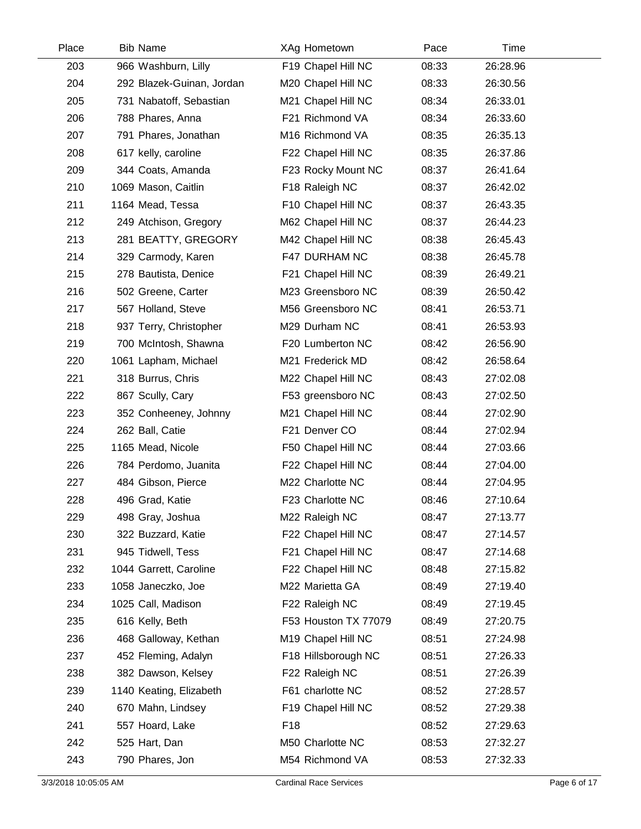| Place | <b>Bib Name</b>           | XAg Hometown         | Pace  | Time     |  |
|-------|---------------------------|----------------------|-------|----------|--|
| 203   | 966 Washburn, Lilly       | F19 Chapel Hill NC   | 08:33 | 26:28.96 |  |
| 204   | 292 Blazek-Guinan, Jordan | M20 Chapel Hill NC   | 08:33 | 26:30.56 |  |
| 205   | 731 Nabatoff, Sebastian   | M21 Chapel Hill NC   | 08:34 | 26:33.01 |  |
| 206   | 788 Phares, Anna          | F21 Richmond VA      | 08:34 | 26:33.60 |  |
| 207   | 791 Phares, Jonathan      | M16 Richmond VA      | 08:35 | 26:35.13 |  |
| 208   | 617 kelly, caroline       | F22 Chapel Hill NC   | 08:35 | 26:37.86 |  |
| 209   | 344 Coats, Amanda         | F23 Rocky Mount NC   | 08:37 | 26:41.64 |  |
| 210   | 1069 Mason, Caitlin       | F18 Raleigh NC       | 08:37 | 26:42.02 |  |
| 211   | 1164 Mead, Tessa          | F10 Chapel Hill NC   | 08:37 | 26:43.35 |  |
| 212   | 249 Atchison, Gregory     | M62 Chapel Hill NC   | 08:37 | 26:44.23 |  |
| 213   | 281 BEATTY, GREGORY       | M42 Chapel Hill NC   | 08:38 | 26:45.43 |  |
| 214   | 329 Carmody, Karen        | F47 DURHAM NC        | 08:38 | 26:45.78 |  |
| 215   | 278 Bautista, Denice      | F21 Chapel Hill NC   | 08:39 | 26:49.21 |  |
| 216   | 502 Greene, Carter        | M23 Greensboro NC    | 08:39 | 26:50.42 |  |
| 217   | 567 Holland, Steve        | M56 Greensboro NC    | 08:41 | 26:53.71 |  |
| 218   | 937 Terry, Christopher    | M29 Durham NC        | 08:41 | 26:53.93 |  |
| 219   | 700 McIntosh, Shawna      | F20 Lumberton NC     | 08:42 | 26:56.90 |  |
| 220   | 1061 Lapham, Michael      | M21 Frederick MD     | 08:42 | 26:58.64 |  |
| 221   | 318 Burrus, Chris         | M22 Chapel Hill NC   | 08:43 | 27:02.08 |  |
| 222   | 867 Scully, Cary          | F53 greensboro NC    | 08:43 | 27:02.50 |  |
| 223   | 352 Conheeney, Johnny     | M21 Chapel Hill NC   | 08:44 | 27:02.90 |  |
| 224   | 262 Ball, Catie           | F21 Denver CO        | 08:44 | 27:02.94 |  |
| 225   | 1165 Mead, Nicole         | F50 Chapel Hill NC   | 08:44 | 27:03.66 |  |
| 226   | 784 Perdomo, Juanita      | F22 Chapel Hill NC   | 08:44 | 27:04.00 |  |
| 227   | 484 Gibson, Pierce        | M22 Charlotte NC     | 08:44 | 27:04.95 |  |
| 228   | 496 Grad, Katie           | F23 Charlotte NC     | 08:46 | 27:10.64 |  |
| 229   | 498 Gray, Joshua          | M22 Raleigh NC       | 08:47 | 27:13.77 |  |
| 230   | 322 Buzzard, Katie        | F22 Chapel Hill NC   | 08:47 | 27:14.57 |  |
| 231   | 945 Tidwell, Tess         | F21 Chapel Hill NC   | 08:47 | 27:14.68 |  |
| 232   | 1044 Garrett, Caroline    | F22 Chapel Hill NC   | 08:48 | 27:15.82 |  |
| 233   | 1058 Janeczko, Joe        | M22 Marietta GA      | 08:49 | 27:19.40 |  |
| 234   | 1025 Call, Madison        | F22 Raleigh NC       | 08:49 | 27:19.45 |  |
| 235   | 616 Kelly, Beth           | F53 Houston TX 77079 | 08:49 | 27:20.75 |  |
| 236   | 468 Galloway, Kethan      | M19 Chapel Hill NC   | 08:51 | 27:24.98 |  |
| 237   | 452 Fleming, Adalyn       | F18 Hillsborough NC  | 08:51 | 27:26.33 |  |
| 238   | 382 Dawson, Kelsey        | F22 Raleigh NC       | 08:51 | 27:26.39 |  |
| 239   | 1140 Keating, Elizabeth   | F61 charlotte NC     | 08:52 | 27:28.57 |  |
| 240   | 670 Mahn, Lindsey         | F19 Chapel Hill NC   | 08:52 | 27:29.38 |  |
| 241   | 557 Hoard, Lake           | F <sub>18</sub>      | 08:52 | 27:29.63 |  |
| 242   | 525 Hart, Dan             | M50 Charlotte NC     | 08:53 | 27:32.27 |  |
| 243   | 790 Phares, Jon           | M54 Richmond VA      | 08:53 | 27:32.33 |  |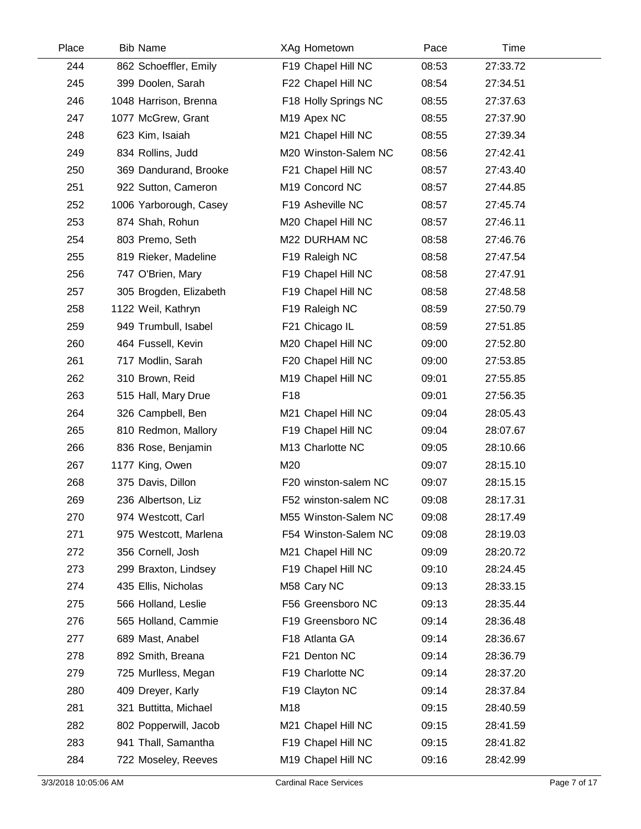| Place | <b>Bib Name</b>        | XAg Hometown            | Pace  | Time     |  |
|-------|------------------------|-------------------------|-------|----------|--|
| 244   | 862 Schoeffler, Emily  | F19 Chapel Hill NC      | 08:53 | 27:33.72 |  |
| 245   | 399 Doolen, Sarah      | F22 Chapel Hill NC      | 08:54 | 27:34.51 |  |
| 246   | 1048 Harrison, Brenna  | F18 Holly Springs NC    | 08:55 | 27:37.63 |  |
| 247   | 1077 McGrew, Grant     | M <sub>19</sub> Apex NC | 08:55 | 27:37.90 |  |
| 248   | 623 Kim, Isaiah        | M21 Chapel Hill NC      | 08:55 | 27:39.34 |  |
| 249   | 834 Rollins, Judd      | M20 Winston-Salem NC    | 08:56 | 27:42.41 |  |
| 250   | 369 Dandurand, Brooke  | F21 Chapel Hill NC      | 08:57 | 27:43.40 |  |
| 251   | 922 Sutton, Cameron    | M19 Concord NC          | 08:57 | 27:44.85 |  |
| 252   | 1006 Yarborough, Casey | F19 Asheville NC        | 08:57 | 27:45.74 |  |
| 253   | 874 Shah, Rohun        | M20 Chapel Hill NC      | 08:57 | 27:46.11 |  |
| 254   | 803 Premo, Seth        | M22 DURHAM NC           | 08:58 | 27:46.76 |  |
| 255   | 819 Rieker, Madeline   | F19 Raleigh NC          | 08:58 | 27:47.54 |  |
| 256   | 747 O'Brien, Mary      | F19 Chapel Hill NC      | 08:58 | 27:47.91 |  |
| 257   | 305 Brogden, Elizabeth | F19 Chapel Hill NC      | 08:58 | 27:48.58 |  |
| 258   | 1122 Weil, Kathryn     | F19 Raleigh NC          | 08:59 | 27:50.79 |  |
| 259   | 949 Trumbull, Isabel   | F21 Chicago IL          | 08:59 | 27:51.85 |  |
| 260   | 464 Fussell, Kevin     | M20 Chapel Hill NC      | 09:00 | 27:52.80 |  |
| 261   | 717 Modlin, Sarah      | F20 Chapel Hill NC      | 09:00 | 27:53.85 |  |
| 262   | 310 Brown, Reid        | M19 Chapel Hill NC      | 09:01 | 27:55.85 |  |
| 263   | 515 Hall, Mary Drue    | F <sub>18</sub>         | 09:01 | 27:56.35 |  |
| 264   | 326 Campbell, Ben      | M21 Chapel Hill NC      | 09:04 | 28:05.43 |  |
| 265   | 810 Redmon, Mallory    | F19 Chapel Hill NC      | 09:04 | 28:07.67 |  |
| 266   | 836 Rose, Benjamin     | M13 Charlotte NC        | 09:05 | 28:10.66 |  |
| 267   | 1177 King, Owen        | M20                     | 09:07 | 28:15.10 |  |
| 268   | 375 Davis, Dillon      | F20 winston-salem NC    | 09:07 | 28:15.15 |  |
| 269   | 236 Albertson, Liz     | F52 winston-salem NC    | 09:08 | 28:17.31 |  |
| 270   | 974 Westcott, Carl     | M55 Winston-Salem NC    | 09:08 | 28:17.49 |  |
| 271   | 975 Westcott, Marlena  | F54 Winston-Salem NC    | 09:08 | 28:19.03 |  |
| 272   | 356 Cornell, Josh      | M21 Chapel Hill NC      | 09:09 | 28:20.72 |  |
| 273   | 299 Braxton, Lindsey   | F19 Chapel Hill NC      | 09:10 | 28:24.45 |  |
| 274   | 435 Ellis, Nicholas    | M58 Cary NC             | 09:13 | 28:33.15 |  |
| 275   | 566 Holland, Leslie    | F56 Greensboro NC       | 09:13 | 28:35.44 |  |
| 276   | 565 Holland, Cammie    | F19 Greensboro NC       | 09:14 | 28:36.48 |  |
| 277   | 689 Mast, Anabel       | F18 Atlanta GA          | 09:14 | 28:36.67 |  |
| 278   | 892 Smith, Breana      | F21 Denton NC           | 09:14 | 28:36.79 |  |
| 279   | 725 Murlless, Megan    | F19 Charlotte NC        | 09:14 | 28:37.20 |  |
| 280   | 409 Dreyer, Karly      | F19 Clayton NC          | 09:14 | 28:37.84 |  |
| 281   | 321 Buttitta, Michael  | M18                     | 09:15 | 28:40.59 |  |
| 282   | 802 Popperwill, Jacob  | M21 Chapel Hill NC      | 09:15 | 28:41.59 |  |
| 283   | 941 Thall, Samantha    | F19 Chapel Hill NC      | 09:15 | 28:41.82 |  |
| 284   | 722 Moseley, Reeves    | M19 Chapel Hill NC      | 09:16 | 28:42.99 |  |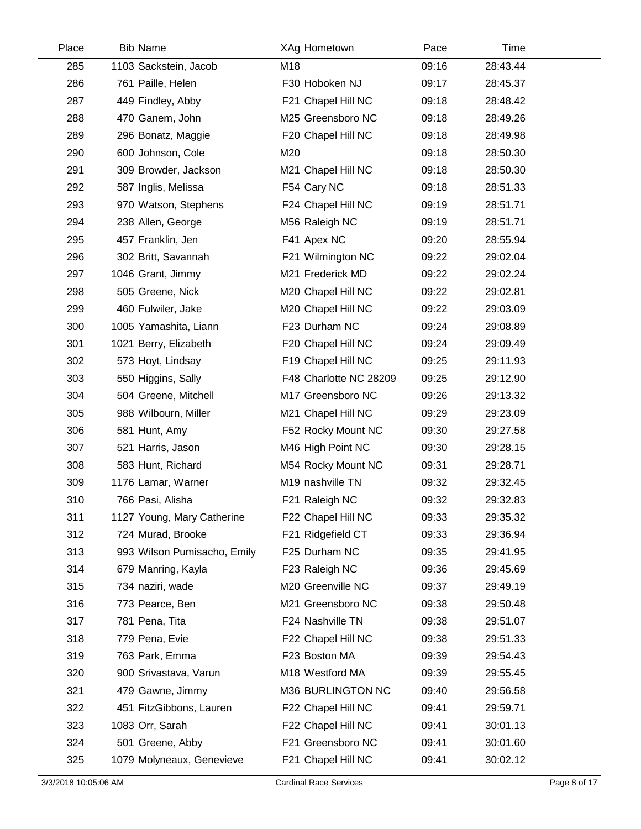| Place | <b>Bib Name</b>             | XAg Hometown           | Pace  | Time     |  |
|-------|-----------------------------|------------------------|-------|----------|--|
| 285   | 1103 Sackstein, Jacob       | M18                    | 09:16 | 28:43.44 |  |
| 286   | 761 Paille, Helen           | F30 Hoboken NJ         | 09:17 | 28:45.37 |  |
| 287   | 449 Findley, Abby           | F21 Chapel Hill NC     | 09:18 | 28:48.42 |  |
| 288   | 470 Ganem, John             | M25 Greensboro NC      | 09:18 | 28:49.26 |  |
| 289   | 296 Bonatz, Maggie          | F20 Chapel Hill NC     | 09:18 | 28:49.98 |  |
| 290   | 600 Johnson, Cole           | M20                    | 09:18 | 28:50.30 |  |
| 291   | 309 Browder, Jackson        | M21 Chapel Hill NC     | 09:18 | 28:50.30 |  |
| 292   | 587 Inglis, Melissa         | F54 Cary NC            | 09:18 | 28:51.33 |  |
| 293   | 970 Watson, Stephens        | F24 Chapel Hill NC     | 09:19 | 28:51.71 |  |
| 294   | 238 Allen, George           | M56 Raleigh NC         | 09:19 | 28:51.71 |  |
| 295   | 457 Franklin, Jen           | F41 Apex NC            | 09:20 | 28:55.94 |  |
| 296   | 302 Britt, Savannah         | F21 Wilmington NC      | 09:22 | 29:02.04 |  |
| 297   | 1046 Grant, Jimmy           | M21 Frederick MD       | 09:22 | 29:02.24 |  |
| 298   | 505 Greene, Nick            | M20 Chapel Hill NC     | 09:22 | 29:02.81 |  |
| 299   | 460 Fulwiler, Jake          | M20 Chapel Hill NC     | 09:22 | 29:03.09 |  |
| 300   | 1005 Yamashita, Liann       | F23 Durham NC          | 09:24 | 29:08.89 |  |
| 301   | 1021 Berry, Elizabeth       | F20 Chapel Hill NC     | 09:24 | 29:09.49 |  |
| 302   | 573 Hoyt, Lindsay           | F19 Chapel Hill NC     | 09:25 | 29:11.93 |  |
| 303   | 550 Higgins, Sally          | F48 Charlotte NC 28209 | 09:25 | 29:12.90 |  |
| 304   | 504 Greene, Mitchell        | M17 Greensboro NC      | 09:26 | 29:13.32 |  |
| 305   | 988 Wilbourn, Miller        | M21 Chapel Hill NC     | 09:29 | 29:23.09 |  |
| 306   | 581 Hunt, Amy               | F52 Rocky Mount NC     | 09:30 | 29:27.58 |  |
| 307   | 521 Harris, Jason           | M46 High Point NC      | 09:30 | 29:28.15 |  |
| 308   | 583 Hunt, Richard           | M54 Rocky Mount NC     | 09:31 | 29:28.71 |  |
| 309   | 1176 Lamar, Warner          | M19 nashville TN       | 09:32 | 29:32.45 |  |
| 310   | 766 Pasi, Alisha            | F21 Raleigh NC         | 09:32 | 29:32.83 |  |
| 311   | 1127 Young, Mary Catherine  | F22 Chapel Hill NC     | 09:33 | 29:35.32 |  |
| 312   | 724 Murad, Brooke           | F21 Ridgefield CT      | 09:33 | 29:36.94 |  |
| 313   | 993 Wilson Pumisacho, Emily | F25 Durham NC          | 09:35 | 29:41.95 |  |
| 314   | 679 Manring, Kayla          | F23 Raleigh NC         | 09:36 | 29:45.69 |  |
| 315   | 734 naziri, wade            | M20 Greenville NC      | 09:37 | 29:49.19 |  |
| 316   | 773 Pearce, Ben             | M21 Greensboro NC      | 09:38 | 29:50.48 |  |
| 317   | 781 Pena, Tita              | F24 Nashville TN       | 09:38 | 29:51.07 |  |
| 318   | 779 Pena, Evie              | F22 Chapel Hill NC     | 09:38 | 29:51.33 |  |
| 319   | 763 Park, Emma              | F23 Boston MA          | 09:39 | 29:54.43 |  |
| 320   | 900 Srivastava, Varun       | M18 Westford MA        | 09:39 | 29:55.45 |  |
| 321   | 479 Gawne, Jimmy            | M36 BURLINGTON NC      | 09:40 | 29:56.58 |  |
| 322   | 451 FitzGibbons, Lauren     | F22 Chapel Hill NC     | 09:41 | 29:59.71 |  |
| 323   | 1083 Orr, Sarah             | F22 Chapel Hill NC     | 09:41 | 30:01.13 |  |
| 324   | 501 Greene, Abby            | F21 Greensboro NC      | 09:41 | 30:01.60 |  |
| 325   | 1079 Molyneaux, Genevieve   | F21 Chapel Hill NC     | 09:41 | 30:02.12 |  |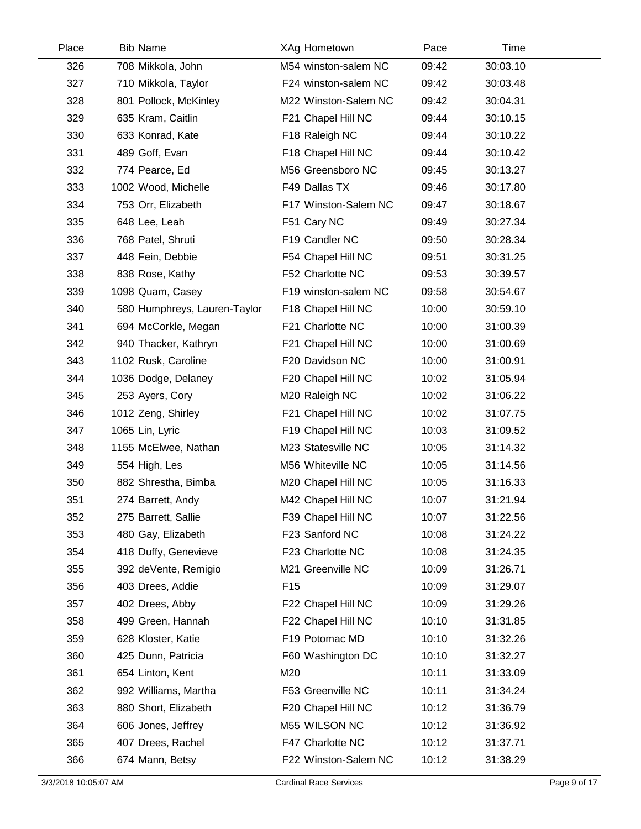| Place | <b>Bib Name</b>              | XAg Hometown         | Pace  | Time     |  |
|-------|------------------------------|----------------------|-------|----------|--|
| 326   | 708 Mikkola, John            | M54 winston-salem NC | 09:42 | 30:03.10 |  |
| 327   | 710 Mikkola, Taylor          | F24 winston-salem NC | 09:42 | 30:03.48 |  |
| 328   | 801 Pollock, McKinley        | M22 Winston-Salem NC | 09:42 | 30:04.31 |  |
| 329   | 635 Kram, Caitlin            | F21 Chapel Hill NC   | 09:44 | 30:10.15 |  |
| 330   | 633 Konrad, Kate             | F18 Raleigh NC       | 09:44 | 30:10.22 |  |
| 331   | 489 Goff, Evan               | F18 Chapel Hill NC   | 09:44 | 30:10.42 |  |
| 332   | 774 Pearce, Ed               | M56 Greensboro NC    | 09:45 | 30:13.27 |  |
| 333   | 1002 Wood, Michelle          | F49 Dallas TX        | 09:46 | 30:17.80 |  |
| 334   | 753 Orr, Elizabeth           | F17 Winston-Salem NC | 09:47 | 30:18.67 |  |
| 335   | 648 Lee, Leah                | F51 Cary NC          | 09:49 | 30:27.34 |  |
| 336   | 768 Patel, Shruti            | F19 Candler NC       | 09:50 | 30:28.34 |  |
| 337   | 448 Fein, Debbie             | F54 Chapel Hill NC   | 09:51 | 30:31.25 |  |
| 338   | 838 Rose, Kathy              | F52 Charlotte NC     | 09:53 | 30:39.57 |  |
| 339   | 1098 Quam, Casey             | F19 winston-salem NC | 09:58 | 30:54.67 |  |
| 340   | 580 Humphreys, Lauren-Taylor | F18 Chapel Hill NC   | 10:00 | 30:59.10 |  |
| 341   | 694 McCorkle, Megan          | F21 Charlotte NC     | 10:00 | 31:00.39 |  |
| 342   | 940 Thacker, Kathryn         | F21 Chapel Hill NC   | 10:00 | 31:00.69 |  |
| 343   | 1102 Rusk, Caroline          | F20 Davidson NC      | 10:00 | 31:00.91 |  |
| 344   | 1036 Dodge, Delaney          | F20 Chapel Hill NC   | 10:02 | 31:05.94 |  |
| 345   | 253 Ayers, Cory              | M20 Raleigh NC       | 10:02 | 31:06.22 |  |
| 346   | 1012 Zeng, Shirley           | F21 Chapel Hill NC   | 10:02 | 31:07.75 |  |
| 347   | 1065 Lin, Lyric              | F19 Chapel Hill NC   | 10:03 | 31:09.52 |  |
| 348   | 1155 McElwee, Nathan         | M23 Statesville NC   | 10:05 | 31:14.32 |  |
| 349   | 554 High, Les                | M56 Whiteville NC    | 10:05 | 31:14.56 |  |
| 350   | 882 Shrestha, Bimba          | M20 Chapel Hill NC   | 10:05 | 31:16.33 |  |
| 351   | 274 Barrett, Andy            | M42 Chapel Hill NC   | 10:07 | 31:21.94 |  |
| 352   | 275 Barrett, Sallie          | F39 Chapel Hill NC   | 10:07 | 31:22.56 |  |
| 353   | 480 Gay, Elizabeth           | F23 Sanford NC       | 10:08 | 31:24.22 |  |
| 354   | 418 Duffy, Genevieve         | F23 Charlotte NC     | 10:08 | 31:24.35 |  |
| 355   | 392 deVente, Remigio         | M21 Greenville NC    | 10:09 | 31:26.71 |  |
| 356   | 403 Drees, Addie             | F <sub>15</sub>      | 10:09 | 31:29.07 |  |
| 357   | 402 Drees, Abby              | F22 Chapel Hill NC   | 10:09 | 31:29.26 |  |
| 358   | 499 Green, Hannah            | F22 Chapel Hill NC   | 10:10 | 31:31.85 |  |
| 359   | 628 Kloster, Katie           | F19 Potomac MD       | 10:10 | 31:32.26 |  |
| 360   | 425 Dunn, Patricia           | F60 Washington DC    | 10:10 | 31:32.27 |  |
| 361   | 654 Linton, Kent             | M20                  | 10:11 | 31:33.09 |  |
| 362   | 992 Williams, Martha         | F53 Greenville NC    | 10:11 | 31:34.24 |  |
| 363   | 880 Short, Elizabeth         | F20 Chapel Hill NC   | 10:12 | 31:36.79 |  |
| 364   | 606 Jones, Jeffrey           | M55 WILSON NC        | 10:12 | 31:36.92 |  |
| 365   | 407 Drees, Rachel            | F47 Charlotte NC     | 10:12 | 31:37.71 |  |
| 366   | 674 Mann, Betsy              | F22 Winston-Salem NC | 10:12 | 31:38.29 |  |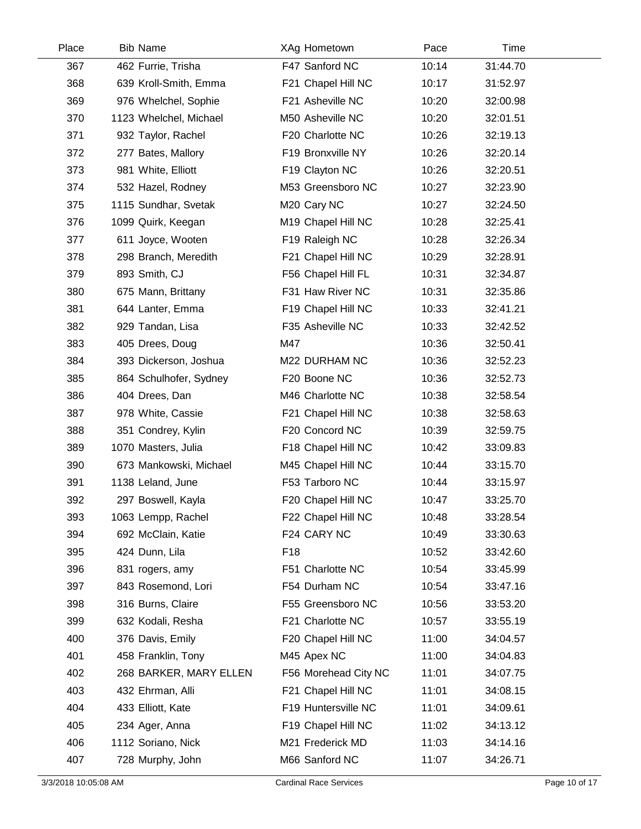| Place | <b>Bib Name</b>        | XAg Hometown         | Pace  | Time     |  |
|-------|------------------------|----------------------|-------|----------|--|
| 367   | 462 Furrie, Trisha     | F47 Sanford NC       | 10:14 | 31:44.70 |  |
| 368   | 639 Kroll-Smith, Emma  | F21 Chapel Hill NC   | 10:17 | 31:52.97 |  |
| 369   | 976 Whelchel, Sophie   | F21 Asheville NC     | 10:20 | 32:00.98 |  |
| 370   | 1123 Whelchel, Michael | M50 Asheville NC     | 10:20 | 32:01.51 |  |
| 371   | 932 Taylor, Rachel     | F20 Charlotte NC     | 10:26 | 32:19.13 |  |
| 372   | 277 Bates, Mallory     | F19 Bronxville NY    | 10:26 | 32:20.14 |  |
| 373   | 981 White, Elliott     | F19 Clayton NC       | 10:26 | 32:20.51 |  |
| 374   | 532 Hazel, Rodney      | M53 Greensboro NC    | 10:27 | 32:23.90 |  |
| 375   | 1115 Sundhar, Svetak   | M20 Cary NC          | 10:27 | 32:24.50 |  |
| 376   | 1099 Quirk, Keegan     | M19 Chapel Hill NC   | 10:28 | 32:25.41 |  |
| 377   | 611 Joyce, Wooten      | F19 Raleigh NC       | 10:28 | 32:26.34 |  |
| 378   | 298 Branch, Meredith   | F21 Chapel Hill NC   | 10:29 | 32:28.91 |  |
| 379   | 893 Smith, CJ          | F56 Chapel Hill FL   | 10:31 | 32:34.87 |  |
| 380   | 675 Mann, Brittany     | F31 Haw River NC     | 10:31 | 32:35.86 |  |
| 381   | 644 Lanter, Emma       | F19 Chapel Hill NC   | 10:33 | 32:41.21 |  |
| 382   | 929 Tandan, Lisa       | F35 Asheville NC     | 10:33 | 32:42.52 |  |
| 383   | 405 Drees, Doug        | M47                  | 10:36 | 32:50.41 |  |
| 384   | 393 Dickerson, Joshua  | M22 DURHAM NC        | 10:36 | 32:52.23 |  |
| 385   | 864 Schulhofer, Sydney | F20 Boone NC         | 10:36 | 32:52.73 |  |
| 386   | 404 Drees, Dan         | M46 Charlotte NC     | 10:38 | 32:58.54 |  |
| 387   | 978 White, Cassie      | F21 Chapel Hill NC   | 10:38 | 32:58.63 |  |
| 388   | 351 Condrey, Kylin     | F20 Concord NC       | 10:39 | 32:59.75 |  |
| 389   | 1070 Masters, Julia    | F18 Chapel Hill NC   | 10:42 | 33:09.83 |  |
| 390   | 673 Mankowski, Michael | M45 Chapel Hill NC   | 10:44 | 33:15.70 |  |
| 391   | 1138 Leland, June      | F53 Tarboro NC       | 10:44 | 33:15.97 |  |
| 392   | 297 Boswell, Kayla     | F20 Chapel Hill NC   | 10:47 | 33:25.70 |  |
| 393   | 1063 Lempp, Rachel     | F22 Chapel Hill NC   | 10:48 | 33:28.54 |  |
| 394   | 692 McClain, Katie     | F24 CARY NC          | 10:49 | 33:30.63 |  |
| 395   | 424 Dunn, Lila         | F <sub>18</sub>      | 10:52 | 33:42.60 |  |
| 396   | 831 rogers, amy        | F51 Charlotte NC     | 10:54 | 33:45.99 |  |
| 397   | 843 Rosemond, Lori     | F54 Durham NC        | 10:54 | 33:47.16 |  |
| 398   | 316 Burns, Claire      | F55 Greensboro NC    | 10:56 | 33:53.20 |  |
| 399   | 632 Kodali, Resha      | F21 Charlotte NC     | 10:57 | 33:55.19 |  |
| 400   | 376 Davis, Emily       | F20 Chapel Hill NC   | 11:00 | 34:04.57 |  |
| 401   | 458 Franklin, Tony     | M45 Apex NC          | 11:00 | 34:04.83 |  |
| 402   | 268 BARKER, MARY ELLEN | F56 Morehead City NC | 11:01 | 34:07.75 |  |
| 403   | 432 Ehrman, Alli       | F21 Chapel Hill NC   | 11:01 | 34:08.15 |  |
| 404   | 433 Elliott, Kate      | F19 Huntersville NC  | 11:01 | 34:09.61 |  |
| 405   | 234 Ager, Anna         | F19 Chapel Hill NC   | 11:02 | 34:13.12 |  |
| 406   | 1112 Soriano, Nick     | M21 Frederick MD     | 11:03 | 34:14.16 |  |
| 407   | 728 Murphy, John       | M66 Sanford NC       | 11:07 | 34:26.71 |  |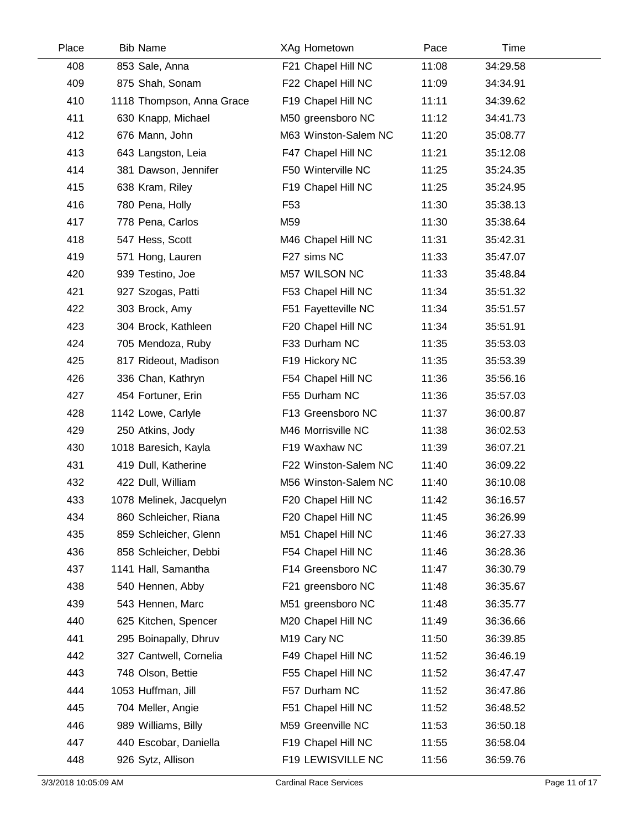| Place | <b>Bib Name</b>           | XAg Hometown            | Pace  | Time     |  |
|-------|---------------------------|-------------------------|-------|----------|--|
| 408   | 853 Sale, Anna            | F21 Chapel Hill NC      | 11:08 | 34:29.58 |  |
| 409   | 875 Shah, Sonam           | F22 Chapel Hill NC      | 11:09 | 34:34.91 |  |
| 410   | 1118 Thompson, Anna Grace | F19 Chapel Hill NC      | 11:11 | 34:39.62 |  |
| 411   | 630 Knapp, Michael        | M50 greensboro NC       | 11:12 | 34:41.73 |  |
| 412   | 676 Mann, John            | M63 Winston-Salem NC    | 11:20 | 35:08.77 |  |
| 413   | 643 Langston, Leia        | F47 Chapel Hill NC      | 11:21 | 35:12.08 |  |
| 414   | 381 Dawson, Jennifer      | F50 Winterville NC      | 11:25 | 35:24.35 |  |
| 415   | 638 Kram, Riley           | F19 Chapel Hill NC      | 11:25 | 35:24.95 |  |
| 416   | 780 Pena, Holly           | F <sub>53</sub>         | 11:30 | 35:38.13 |  |
| 417   | 778 Pena, Carlos          | M59                     | 11:30 | 35:38.64 |  |
| 418   | 547 Hess, Scott           | M46 Chapel Hill NC      | 11:31 | 35:42.31 |  |
| 419   | 571 Hong, Lauren          | F27 sims NC             | 11:33 | 35:47.07 |  |
| 420   | 939 Testino, Joe          | M57 WILSON NC           | 11:33 | 35:48.84 |  |
| 421   | 927 Szogas, Patti         | F53 Chapel Hill NC      | 11:34 | 35:51.32 |  |
| 422   | 303 Brock, Amy            | F51 Fayetteville NC     | 11:34 | 35:51.57 |  |
| 423   | 304 Brock, Kathleen       | F20 Chapel Hill NC      | 11:34 | 35:51.91 |  |
| 424   | 705 Mendoza, Ruby         | F33 Durham NC           | 11:35 | 35:53.03 |  |
| 425   | 817 Rideout, Madison      | F19 Hickory NC          | 11:35 | 35:53.39 |  |
| 426   | 336 Chan, Kathryn         | F54 Chapel Hill NC      | 11:36 | 35:56.16 |  |
| 427   | 454 Fortuner, Erin        | F55 Durham NC           | 11:36 | 35:57.03 |  |
| 428   | 1142 Lowe, Carlyle        | F13 Greensboro NC       | 11:37 | 36:00.87 |  |
| 429   | 250 Atkins, Jody          | M46 Morrisville NC      | 11:38 | 36:02.53 |  |
| 430   | 1018 Baresich, Kayla      | F19 Waxhaw NC           | 11:39 | 36:07.21 |  |
| 431   | 419 Dull, Katherine       | F22 Winston-Salem NC    | 11:40 | 36:09.22 |  |
| 432   | 422 Dull, William         | M56 Winston-Salem NC    | 11:40 | 36:10.08 |  |
| 433   | 1078 Melinek, Jacquelyn   | F20 Chapel Hill NC      | 11:42 | 36:16.57 |  |
| 434   | 860 Schleicher, Riana     | F20 Chapel Hill NC      | 11:45 | 36:26.99 |  |
| 435   | 859 Schleicher, Glenn     | M51 Chapel Hill NC      | 11:46 | 36:27.33 |  |
| 436   | 858 Schleicher, Debbi     | F54 Chapel Hill NC      | 11:46 | 36:28.36 |  |
| 437   | 1141 Hall, Samantha       | F14 Greensboro NC       | 11:47 | 36:30.79 |  |
| 438   | 540 Hennen, Abby          | F21 greensboro NC       | 11:48 | 36:35.67 |  |
| 439   | 543 Hennen, Marc          | M51 greensboro NC       | 11:48 | 36:35.77 |  |
| 440   | 625 Kitchen, Spencer      | M20 Chapel Hill NC      | 11:49 | 36:36.66 |  |
| 441   | 295 Boinapally, Dhruv     | M <sub>19</sub> Cary NC | 11:50 | 36:39.85 |  |
| 442   | 327 Cantwell, Cornelia    | F49 Chapel Hill NC      | 11:52 | 36:46.19 |  |
| 443   | 748 Olson, Bettie         | F55 Chapel Hill NC      | 11:52 | 36:47.47 |  |
| 444   | 1053 Huffman, Jill        | F57 Durham NC           | 11:52 | 36:47.86 |  |
| 445   | 704 Meller, Angie         | F51 Chapel Hill NC      | 11:52 | 36:48.52 |  |
| 446   | 989 Williams, Billy       | M59 Greenville NC       | 11:53 | 36:50.18 |  |
| 447   | 440 Escobar, Daniella     | F19 Chapel Hill NC      | 11:55 | 36:58.04 |  |
| 448   | 926 Sytz, Allison         | F19 LEWISVILLE NC       | 11:56 | 36:59.76 |  |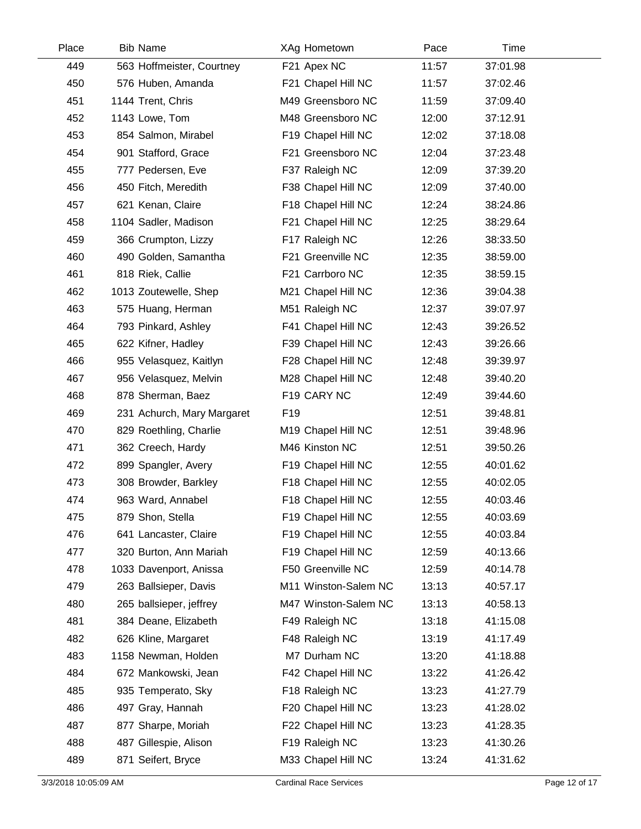| Place | <b>Bib Name</b>            | XAg Hometown         | Pace  | Time     |  |
|-------|----------------------------|----------------------|-------|----------|--|
| 449   | 563 Hoffmeister, Courtney  | F21 Apex NC          | 11:57 | 37:01.98 |  |
| 450   | 576 Huben, Amanda          | F21 Chapel Hill NC   | 11:57 | 37:02.46 |  |
| 451   | 1144 Trent, Chris          | M49 Greensboro NC    | 11:59 | 37:09.40 |  |
| 452   | 1143 Lowe, Tom             | M48 Greensboro NC    | 12:00 | 37:12.91 |  |
| 453   | 854 Salmon, Mirabel        | F19 Chapel Hill NC   | 12:02 | 37:18.08 |  |
| 454   | 901 Stafford, Grace        | F21 Greensboro NC    | 12:04 | 37:23.48 |  |
| 455   | 777 Pedersen, Eve          | F37 Raleigh NC       | 12:09 | 37:39.20 |  |
| 456   | 450 Fitch, Meredith        | F38 Chapel Hill NC   | 12:09 | 37:40.00 |  |
| 457   | 621 Kenan, Claire          | F18 Chapel Hill NC   | 12:24 | 38:24.86 |  |
| 458   | 1104 Sadler, Madison       | F21 Chapel Hill NC   | 12:25 | 38:29.64 |  |
| 459   | 366 Crumpton, Lizzy        | F17 Raleigh NC       | 12:26 | 38:33.50 |  |
| 460   | 490 Golden, Samantha       | F21 Greenville NC    | 12:35 | 38:59.00 |  |
| 461   | 818 Riek, Callie           | F21 Carrboro NC      | 12:35 | 38:59.15 |  |
| 462   | 1013 Zoutewelle, Shep      | M21 Chapel Hill NC   | 12:36 | 39:04.38 |  |
| 463   | 575 Huang, Herman          | M51 Raleigh NC       | 12:37 | 39:07.97 |  |
| 464   | 793 Pinkard, Ashley        | F41 Chapel Hill NC   | 12:43 | 39:26.52 |  |
| 465   | 622 Kifner, Hadley         | F39 Chapel Hill NC   | 12:43 | 39:26.66 |  |
| 466   | 955 Velasquez, Kaitlyn     | F28 Chapel Hill NC   | 12:48 | 39:39.97 |  |
| 467   | 956 Velasquez, Melvin      | M28 Chapel Hill NC   | 12:48 | 39:40.20 |  |
| 468   | 878 Sherman, Baez          | F19 CARY NC          | 12:49 | 39:44.60 |  |
| 469   | 231 Achurch, Mary Margaret | F <sub>19</sub>      | 12:51 | 39:48.81 |  |
| 470   | 829 Roethling, Charlie     | M19 Chapel Hill NC   | 12:51 | 39:48.96 |  |
| 471   | 362 Creech, Hardy          | M46 Kinston NC       | 12:51 | 39:50.26 |  |
| 472   | 899 Spangler, Avery        | F19 Chapel Hill NC   | 12:55 | 40:01.62 |  |
| 473   | 308 Browder, Barkley       | F18 Chapel Hill NC   | 12:55 | 40:02.05 |  |
| 474   | 963 Ward, Annabel          | F18 Chapel Hill NC   | 12:55 | 40:03.46 |  |
| 475   | 879 Shon, Stella           | F19 Chapel Hill NC   | 12:55 | 40:03.69 |  |
| 476   | 641 Lancaster, Claire      | F19 Chapel Hill NC   | 12:55 | 40:03.84 |  |
| 477   | 320 Burton, Ann Mariah     | F19 Chapel Hill NC   | 12:59 | 40:13.66 |  |
| 478   | 1033 Davenport, Anissa     | F50 Greenville NC    | 12:59 | 40:14.78 |  |
| 479   | 263 Ballsieper, Davis      | M11 Winston-Salem NC | 13:13 | 40:57.17 |  |
| 480   | 265 ballsieper, jeffrey    | M47 Winston-Salem NC | 13:13 | 40:58.13 |  |
| 481   | 384 Deane, Elizabeth       | F49 Raleigh NC       | 13:18 | 41:15.08 |  |
| 482   | 626 Kline, Margaret        | F48 Raleigh NC       | 13:19 | 41:17.49 |  |
| 483   | 1158 Newman, Holden        | M7 Durham NC         | 13:20 | 41:18.88 |  |
| 484   | 672 Mankowski, Jean        | F42 Chapel Hill NC   | 13:22 | 41:26.42 |  |
| 485   | 935 Temperato, Sky         | F18 Raleigh NC       | 13:23 | 41:27.79 |  |
| 486   | 497 Gray, Hannah           | F20 Chapel Hill NC   | 13:23 | 41:28.02 |  |
| 487   | 877 Sharpe, Moriah         | F22 Chapel Hill NC   | 13:23 | 41:28.35 |  |
| 488   | 487 Gillespie, Alison      | F19 Raleigh NC       | 13:23 | 41:30.26 |  |
| 489   | 871 Seifert, Bryce         | M33 Chapel Hill NC   | 13:24 | 41:31.62 |  |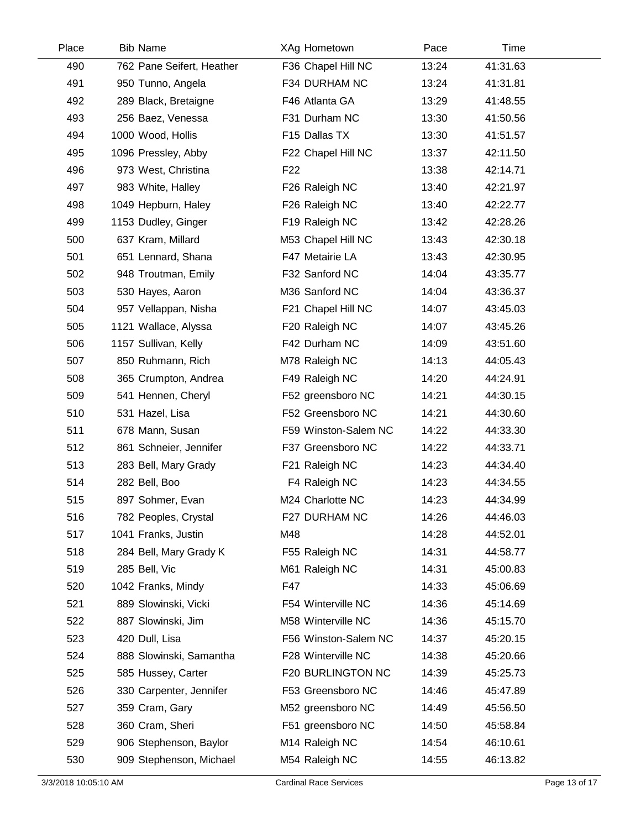| Place | <b>Bib Name</b>           | XAg Hometown         | Pace  | Time     |  |
|-------|---------------------------|----------------------|-------|----------|--|
| 490   | 762 Pane Seifert, Heather | F36 Chapel Hill NC   | 13:24 | 41:31.63 |  |
| 491   | 950 Tunno, Angela         | F34 DURHAM NC        | 13:24 | 41:31.81 |  |
| 492   | 289 Black, Bretaigne      | F46 Atlanta GA       | 13:29 | 41:48.55 |  |
| 493   | 256 Baez, Venessa         | F31 Durham NC        | 13:30 | 41:50.56 |  |
| 494   | 1000 Wood, Hollis         | F15 Dallas TX        | 13:30 | 41:51.57 |  |
| 495   | 1096 Pressley, Abby       | F22 Chapel Hill NC   | 13:37 | 42:11.50 |  |
| 496   | 973 West, Christina       | F <sub>22</sub>      | 13:38 | 42:14.71 |  |
| 497   | 983 White, Halley         | F26 Raleigh NC       | 13:40 | 42:21.97 |  |
| 498   | 1049 Hepburn, Haley       | F26 Raleigh NC       | 13:40 | 42:22.77 |  |
| 499   | 1153 Dudley, Ginger       | F19 Raleigh NC       | 13:42 | 42:28.26 |  |
| 500   | 637 Kram, Millard         | M53 Chapel Hill NC   | 13:43 | 42:30.18 |  |
| 501   | 651 Lennard, Shana        | F47 Metairie LA      | 13:43 | 42:30.95 |  |
| 502   | 948 Troutman, Emily       | F32 Sanford NC       | 14:04 | 43:35.77 |  |
| 503   | 530 Hayes, Aaron          | M36 Sanford NC       | 14:04 | 43:36.37 |  |
| 504   | 957 Vellappan, Nisha      | F21 Chapel Hill NC   | 14:07 | 43:45.03 |  |
| 505   | 1121 Wallace, Alyssa      | F20 Raleigh NC       | 14:07 | 43:45.26 |  |
| 506   | 1157 Sullivan, Kelly      | F42 Durham NC        | 14:09 | 43:51.60 |  |
| 507   | 850 Ruhmann, Rich         | M78 Raleigh NC       | 14:13 | 44:05.43 |  |
| 508   | 365 Crumpton, Andrea      | F49 Raleigh NC       | 14:20 | 44:24.91 |  |
| 509   | 541 Hennen, Cheryl        | F52 greensboro NC    | 14:21 | 44:30.15 |  |
| 510   | 531 Hazel, Lisa           | F52 Greensboro NC    | 14:21 | 44:30.60 |  |
| 511   | 678 Mann, Susan           | F59 Winston-Salem NC | 14:22 | 44:33.30 |  |
| 512   | 861 Schneier, Jennifer    | F37 Greensboro NC    | 14:22 | 44:33.71 |  |
| 513   | 283 Bell, Mary Grady      | F21 Raleigh NC       | 14:23 | 44:34.40 |  |
| 514   | 282 Bell, Boo             | F4 Raleigh NC        | 14:23 | 44:34.55 |  |
| 515   | 897 Sohmer, Evan          | M24 Charlotte NC     | 14:23 | 44:34.99 |  |
| 516   | 782 Peoples, Crystal      | F27 DURHAM NC        | 14:26 | 44:46.03 |  |
| 517   | 1041 Franks, Justin       | M48                  | 14:28 | 44:52.01 |  |
| 518   | 284 Bell, Mary Grady K    | F55 Raleigh NC       | 14:31 | 44:58.77 |  |
| 519   | 285 Bell, Vic             | M61 Raleigh NC       | 14:31 | 45:00.83 |  |
| 520   | 1042 Franks, Mindy        | F47                  | 14:33 | 45:06.69 |  |
| 521   | 889 Slowinski, Vicki      | F54 Winterville NC   | 14:36 | 45:14.69 |  |
| 522   | 887 Slowinski, Jim        | M58 Winterville NC   | 14:36 | 45:15.70 |  |
| 523   | 420 Dull, Lisa            | F56 Winston-Salem NC | 14:37 | 45:20.15 |  |
| 524   | 888 Slowinski, Samantha   | F28 Winterville NC   | 14:38 | 45:20.66 |  |
| 525   | 585 Hussey, Carter        | F20 BURLINGTON NC    | 14:39 | 45:25.73 |  |
| 526   | 330 Carpenter, Jennifer   | F53 Greensboro NC    | 14:46 | 45:47.89 |  |
| 527   | 359 Cram, Gary            | M52 greensboro NC    | 14:49 | 45:56.50 |  |
| 528   | 360 Cram, Sheri           | F51 greensboro NC    | 14:50 | 45:58.84 |  |
| 529   | 906 Stephenson, Baylor    | M14 Raleigh NC       | 14:54 | 46:10.61 |  |
| 530   | 909 Stephenson, Michael   | M54 Raleigh NC       | 14:55 | 46:13.82 |  |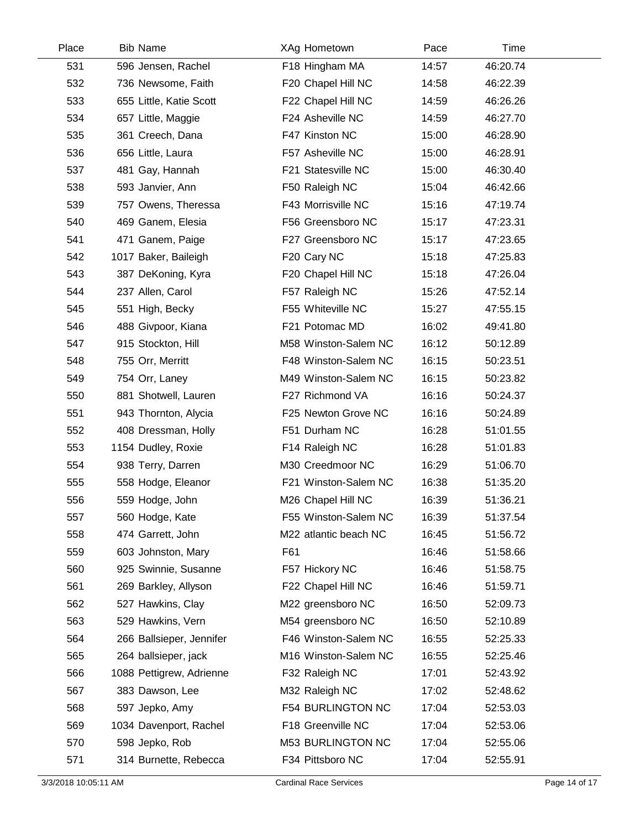| Place | <b>Bib Name</b>          | XAg Hometown          | Pace  | Time     |  |
|-------|--------------------------|-----------------------|-------|----------|--|
| 531   | 596 Jensen, Rachel       | F18 Hingham MA        | 14:57 | 46:20.74 |  |
| 532   | 736 Newsome, Faith       | F20 Chapel Hill NC    | 14:58 | 46:22.39 |  |
| 533   | 655 Little, Katie Scott  | F22 Chapel Hill NC    | 14:59 | 46:26.26 |  |
| 534   | 657 Little, Maggie       | F24 Asheville NC      | 14:59 | 46:27.70 |  |
| 535   | 361 Creech, Dana         | F47 Kinston NC        | 15:00 | 46:28.90 |  |
| 536   | 656 Little, Laura        | F57 Asheville NC      | 15:00 | 46:28.91 |  |
| 537   | 481 Gay, Hannah          | F21 Statesville NC    | 15:00 | 46:30.40 |  |
| 538   | 593 Janvier, Ann         | F50 Raleigh NC        | 15:04 | 46:42.66 |  |
| 539   | 757 Owens, Theressa      | F43 Morrisville NC    | 15:16 | 47:19.74 |  |
| 540   | 469 Ganem, Elesia        | F56 Greensboro NC     | 15:17 | 47:23.31 |  |
| 541   | 471 Ganem, Paige         | F27 Greensboro NC     | 15:17 | 47:23.65 |  |
| 542   | 1017 Baker, Baileigh     | F20 Cary NC           | 15:18 | 47:25.83 |  |
| 543   | 387 DeKoning, Kyra       | F20 Chapel Hill NC    | 15:18 | 47:26.04 |  |
| 544   | 237 Allen, Carol         | F57 Raleigh NC        | 15:26 | 47:52.14 |  |
| 545   | 551 High, Becky          | F55 Whiteville NC     | 15:27 | 47:55.15 |  |
| 546   | 488 Givpoor, Kiana       | F21 Potomac MD        | 16:02 | 49:41.80 |  |
| 547   | 915 Stockton, Hill       | M58 Winston-Salem NC  | 16:12 | 50:12.89 |  |
| 548   | 755 Orr, Merritt         | F48 Winston-Salem NC  | 16:15 | 50:23.51 |  |
| 549   | 754 Orr, Laney           | M49 Winston-Salem NC  | 16:15 | 50:23.82 |  |
| 550   | 881 Shotwell, Lauren     | F27 Richmond VA       | 16:16 | 50:24.37 |  |
| 551   | 943 Thornton, Alycia     | F25 Newton Grove NC   | 16:16 | 50:24.89 |  |
| 552   | 408 Dressman, Holly      | F51 Durham NC         | 16:28 | 51:01.55 |  |
| 553   | 1154 Dudley, Roxie       | F14 Raleigh NC        | 16:28 | 51:01.83 |  |
| 554   | 938 Terry, Darren        | M30 Creedmoor NC      | 16:29 | 51:06.70 |  |
| 555   | 558 Hodge, Eleanor       | F21 Winston-Salem NC  | 16:38 | 51:35.20 |  |
| 556   | 559 Hodge, John          | M26 Chapel Hill NC    | 16:39 | 51:36.21 |  |
| 557   | 560 Hodge, Kate          | F55 Winston-Salem NC  | 16:39 | 51:37.54 |  |
| 558   | 474 Garrett, John        | M22 atlantic beach NC | 16:45 | 51:56.72 |  |
| 559   | 603 Johnston, Mary       | F61                   | 16:46 | 51:58.66 |  |
| 560   | 925 Swinnie, Susanne     | F57 Hickory NC        | 16:46 | 51:58.75 |  |
| 561   | 269 Barkley, Allyson     | F22 Chapel Hill NC    | 16:46 | 51:59.71 |  |
| 562   | 527 Hawkins, Clay        | M22 greensboro NC     | 16:50 | 52:09.73 |  |
| 563   | 529 Hawkins, Vern        | M54 greensboro NC     | 16:50 | 52:10.89 |  |
| 564   | 266 Ballsieper, Jennifer | F46 Winston-Salem NC  | 16:55 | 52:25.33 |  |
| 565   | 264 ballsieper, jack     | M16 Winston-Salem NC  | 16:55 | 52:25.46 |  |
| 566   | 1088 Pettigrew, Adrienne | F32 Raleigh NC        | 17:01 | 52:43.92 |  |
| 567   | 383 Dawson, Lee          | M32 Raleigh NC        | 17:02 | 52:48.62 |  |
| 568   | 597 Jepko, Amy           | F54 BURLINGTON NC     | 17:04 | 52:53.03 |  |
| 569   | 1034 Davenport, Rachel   | F18 Greenville NC     | 17:04 | 52:53.06 |  |
| 570   | 598 Jepko, Rob           | M53 BURLINGTON NC     | 17:04 | 52:55.06 |  |
| 571   | 314 Burnette, Rebecca    | F34 Pittsboro NC      | 17:04 | 52:55.91 |  |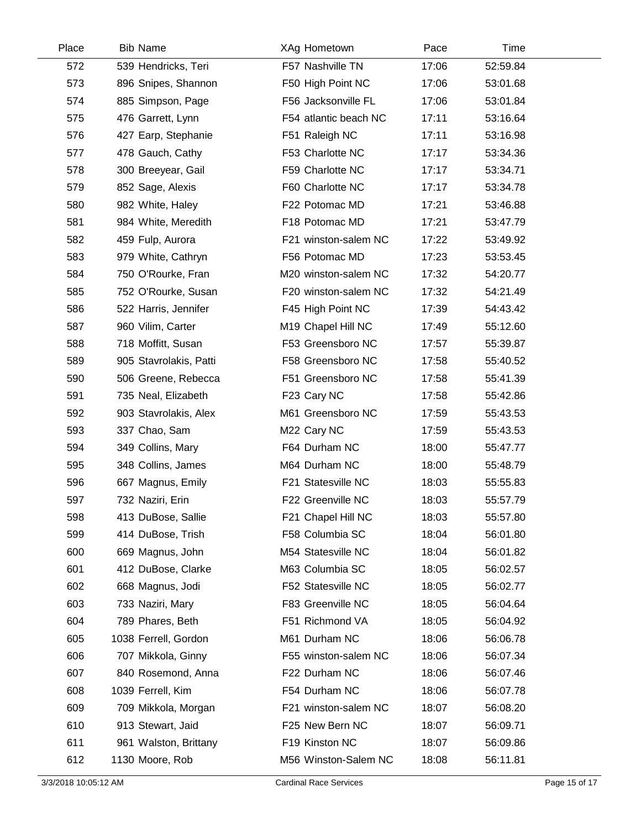| Place | <b>Bib Name</b>        | XAg Hometown          | Pace  | Time     |  |
|-------|------------------------|-----------------------|-------|----------|--|
| 572   | 539 Hendricks, Teri    | F57 Nashville TN      | 17:06 | 52:59.84 |  |
| 573   | 896 Snipes, Shannon    | F50 High Point NC     | 17:06 | 53:01.68 |  |
| 574   | 885 Simpson, Page      | F56 Jacksonville FL   | 17:06 | 53:01.84 |  |
| 575   | 476 Garrett, Lynn      | F54 atlantic beach NC | 17:11 | 53:16.64 |  |
| 576   | 427 Earp, Stephanie    | F51 Raleigh NC        | 17:11 | 53:16.98 |  |
| 577   | 478 Gauch, Cathy       | F53 Charlotte NC      | 17:17 | 53:34.36 |  |
| 578   | 300 Breeyear, Gail     | F59 Charlotte NC      | 17:17 | 53:34.71 |  |
| 579   | 852 Sage, Alexis       | F60 Charlotte NC      | 17:17 | 53:34.78 |  |
| 580   | 982 White, Haley       | F22 Potomac MD        | 17:21 | 53:46.88 |  |
| 581   | 984 White, Meredith    | F18 Potomac MD        | 17:21 | 53:47.79 |  |
| 582   | 459 Fulp, Aurora       | F21 winston-salem NC  | 17:22 | 53:49.92 |  |
| 583   | 979 White, Cathryn     | F56 Potomac MD        | 17:23 | 53:53.45 |  |
| 584   | 750 O'Rourke, Fran     | M20 winston-salem NC  | 17:32 | 54:20.77 |  |
| 585   | 752 O'Rourke, Susan    | F20 winston-salem NC  | 17:32 | 54:21.49 |  |
| 586   | 522 Harris, Jennifer   | F45 High Point NC     | 17:39 | 54:43.42 |  |
| 587   | 960 Vilim, Carter      | M19 Chapel Hill NC    | 17:49 | 55:12.60 |  |
| 588   | 718 Moffitt, Susan     | F53 Greensboro NC     | 17:57 | 55:39.87 |  |
| 589   | 905 Stavrolakis, Patti | F58 Greensboro NC     | 17:58 | 55:40.52 |  |
| 590   | 506 Greene, Rebecca    | F51 Greensboro NC     | 17:58 | 55:41.39 |  |
| 591   | 735 Neal, Elizabeth    | F23 Cary NC           | 17:58 | 55:42.86 |  |
| 592   | 903 Stavrolakis, Alex  | M61 Greensboro NC     | 17:59 | 55:43.53 |  |
| 593   | 337 Chao, Sam          | M22 Cary NC           | 17:59 | 55:43.53 |  |
| 594   | 349 Collins, Mary      | F64 Durham NC         | 18:00 | 55:47.77 |  |
| 595   | 348 Collins, James     | M64 Durham NC         | 18:00 | 55:48.79 |  |
| 596   | 667 Magnus, Emily      | F21 Statesville NC    | 18:03 | 55:55.83 |  |
| 597   | 732 Naziri, Erin       | F22 Greenville NC     | 18:03 | 55:57.79 |  |
| 598   | 413 DuBose, Sallie     | F21 Chapel Hill NC    | 18:03 | 55:57.80 |  |
| 599   | 414 DuBose, Trish      | F58 Columbia SC       | 18:04 | 56:01.80 |  |
| 600   | 669 Magnus, John       | M54 Statesville NC    | 18:04 | 56:01.82 |  |
| 601   | 412 DuBose, Clarke     | M63 Columbia SC       | 18:05 | 56:02.57 |  |
| 602   | 668 Magnus, Jodi       | F52 Statesville NC    | 18:05 | 56:02.77 |  |
| 603   | 733 Naziri, Mary       | F83 Greenville NC     | 18:05 | 56:04.64 |  |
| 604   | 789 Phares, Beth       | F51 Richmond VA       | 18:05 | 56:04.92 |  |
| 605   | 1038 Ferrell, Gordon   | M61 Durham NC         | 18:06 | 56:06.78 |  |
| 606   | 707 Mikkola, Ginny     | F55 winston-salem NC  | 18:06 | 56:07.34 |  |
| 607   | 840 Rosemond, Anna     | F22 Durham NC         | 18:06 | 56:07.46 |  |
| 608   | 1039 Ferrell, Kim      | F54 Durham NC         | 18:06 | 56:07.78 |  |
| 609   | 709 Mikkola, Morgan    | F21 winston-salem NC  | 18:07 | 56:08.20 |  |
| 610   | 913 Stewart, Jaid      | F25 New Bern NC       | 18:07 | 56:09.71 |  |
| 611   | 961 Walston, Brittany  | F19 Kinston NC        | 18:07 | 56:09.86 |  |
| 612   | 1130 Moore, Rob        | M56 Winston-Salem NC  | 18:08 | 56:11.81 |  |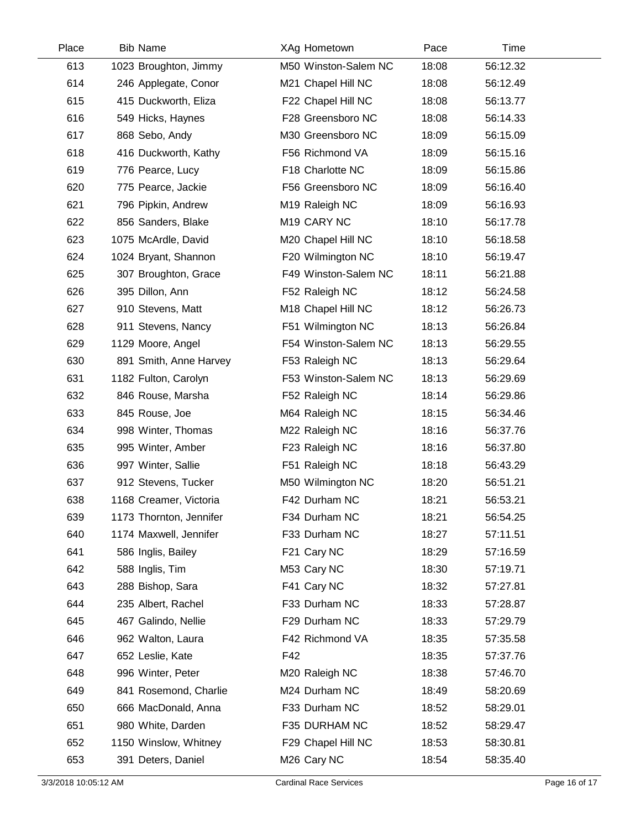| Place | <b>Bib Name</b>         | XAg Hometown            | Pace  | Time     |  |
|-------|-------------------------|-------------------------|-------|----------|--|
| 613   | 1023 Broughton, Jimmy   | M50 Winston-Salem NC    | 18:08 | 56:12.32 |  |
| 614   | 246 Applegate, Conor    | M21 Chapel Hill NC      | 18:08 | 56:12.49 |  |
| 615   | 415 Duckworth, Eliza    | F22 Chapel Hill NC      | 18:08 | 56:13.77 |  |
| 616   | 549 Hicks, Haynes       | F28 Greensboro NC       | 18:08 | 56:14.33 |  |
| 617   | 868 Sebo, Andy          | M30 Greensboro NC       | 18:09 | 56:15.09 |  |
| 618   | 416 Duckworth, Kathy    | F56 Richmond VA         | 18:09 | 56:15.16 |  |
| 619   | 776 Pearce, Lucy        | F18 Charlotte NC        | 18:09 | 56:15.86 |  |
| 620   | 775 Pearce, Jackie      | F56 Greensboro NC       | 18:09 | 56:16.40 |  |
| 621   | 796 Pipkin, Andrew      | M19 Raleigh NC          | 18:09 | 56:16.93 |  |
| 622   | 856 Sanders, Blake      | M <sub>19</sub> CARY NC | 18:10 | 56:17.78 |  |
| 623   | 1075 McArdle, David     | M20 Chapel Hill NC      | 18:10 | 56:18.58 |  |
| 624   | 1024 Bryant, Shannon    | F20 Wilmington NC       | 18:10 | 56:19.47 |  |
| 625   | 307 Broughton, Grace    | F49 Winston-Salem NC    | 18:11 | 56:21.88 |  |
| 626   | 395 Dillon, Ann         | F52 Raleigh NC          | 18:12 | 56:24.58 |  |
| 627   | 910 Stevens, Matt       | M18 Chapel Hill NC      | 18:12 | 56:26.73 |  |
| 628   | 911 Stevens, Nancy      | F51 Wilmington NC       | 18:13 | 56:26.84 |  |
| 629   | 1129 Moore, Angel       | F54 Winston-Salem NC    | 18:13 | 56:29.55 |  |
| 630   | 891 Smith, Anne Harvey  | F53 Raleigh NC          | 18:13 | 56:29.64 |  |
| 631   | 1182 Fulton, Carolyn    | F53 Winston-Salem NC    | 18:13 | 56:29.69 |  |
| 632   | 846 Rouse, Marsha       | F52 Raleigh NC          | 18:14 | 56:29.86 |  |
| 633   | 845 Rouse, Joe          | M64 Raleigh NC          | 18:15 | 56:34.46 |  |
| 634   | 998 Winter, Thomas      | M22 Raleigh NC          | 18:16 | 56:37.76 |  |
| 635   | 995 Winter, Amber       | F23 Raleigh NC          | 18:16 | 56:37.80 |  |
| 636   | 997 Winter, Sallie      | F51 Raleigh NC          | 18:18 | 56:43.29 |  |
| 637   | 912 Stevens, Tucker     | M50 Wilmington NC       | 18:20 | 56:51.21 |  |
| 638   | 1168 Creamer, Victoria  | F42 Durham NC           | 18:21 | 56:53.21 |  |
| 639   | 1173 Thornton, Jennifer | F34 Durham NC           | 18:21 | 56:54.25 |  |
| 640   | 1174 Maxwell, Jennifer  | F33 Durham NC           | 18:27 | 57:11.51 |  |
| 641   | 586 Inglis, Bailey      | F21 Cary NC             | 18:29 | 57:16.59 |  |
| 642   | 588 Inglis, Tim         | M53 Cary NC             | 18:30 | 57:19.71 |  |
| 643   | 288 Bishop, Sara        | F41 Cary NC             | 18:32 | 57:27.81 |  |
| 644   | 235 Albert, Rachel      | F33 Durham NC           | 18:33 | 57:28.87 |  |
| 645   | 467 Galindo, Nellie     | F29 Durham NC           | 18:33 | 57:29.79 |  |
| 646   | 962 Walton, Laura       | F42 Richmond VA         | 18:35 | 57:35.58 |  |
| 647   | 652 Leslie, Kate        | F42                     | 18:35 | 57:37.76 |  |
| 648   | 996 Winter, Peter       | M20 Raleigh NC          | 18:38 | 57:46.70 |  |
| 649   | 841 Rosemond, Charlie   | M24 Durham NC           | 18:49 | 58:20.69 |  |
| 650   | 666 MacDonald, Anna     | F33 Durham NC           | 18:52 | 58:29.01 |  |
| 651   | 980 White, Darden       | F35 DURHAM NC           | 18:52 | 58:29.47 |  |
| 652   | 1150 Winslow, Whitney   | F29 Chapel Hill NC      | 18:53 | 58:30.81 |  |
| 653   | 391 Deters, Daniel      | M <sub>26</sub> Cary NC | 18:54 | 58:35.40 |  |